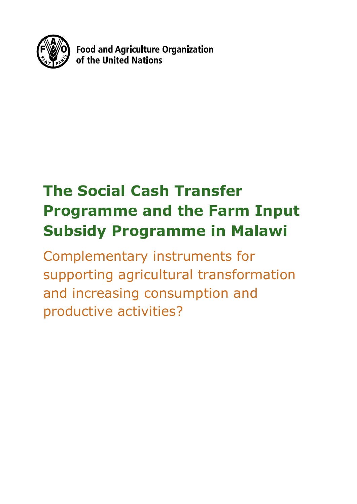

**Food and Agriculture Organization** of the United Nations

# **The Social Cash Transfer Programme and the Farm Input Subsidy Programme in Malawi**

Complementary instruments for supporting agricultural transformation and increasing consumption and productive activities?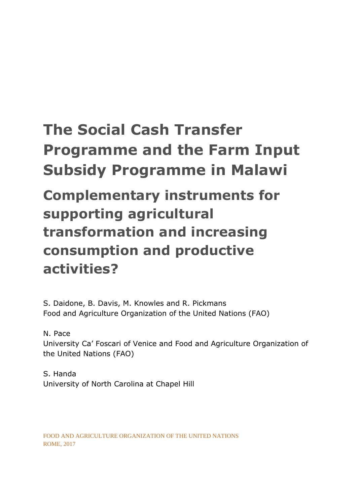# **The Social Cash Transfer Programme and the Farm Input Subsidy Programme in Malawi**

**Complementary instruments for supporting agricultural transformation and increasing consumption and productive activities?**

S. Daidone, B. Davis, M. Knowles and R. Pickmans Food and Agriculture Organization of the United Nations (FAO)

### N. Pace

University Ca' Foscari of Venice and Food and Agriculture Organization of the United Nations (FAO)

S. Handa University of North Carolina at Chapel Hill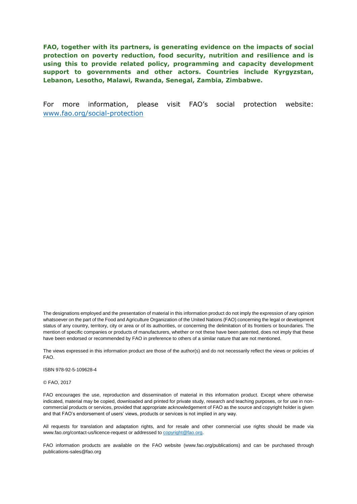**FAO, together with its partners, is generating evidence on the impacts of social protection on poverty reduction, food security, nutrition and resilience and is using this to provide related policy, programming and capacity development support to governments and other actors. Countries include Kyrgyzstan, Lebanon, Lesotho, Malawi, Rwanda, Senegal, Zambia, Zimbabwe.** 

For more information, please visit FAO's social protection website: [www.fao.org/social-protection](http://www.fao.org/social-protection)

The designations employed and the presentation of material in this information product do not imply the expression of any opinion whatsoever on the part of the Food and Agriculture Organization of the United Nations (FAO) concerning the legal or development status of any country, territory, city or area or of its authorities, or concerning the delimitation of its frontiers or boundaries. The mention of specific companies or products of manufacturers, whether or not these have been patented, does not imply that these have been endorsed or recommended by FAO in preference to others of a similar nature that are not mentioned.

The views expressed in this information product are those of the author(s) and do not necessarily reflect the views or policies of FAO.

ISBN 978-92-5-109628-4

© FAO, 2017

FAO encourages the use, reproduction and dissemination of material in this information product. Except where otherwise indicated, material may be copied, downloaded and printed for private study, research and teaching purposes, or for use in noncommercial products or services, provided that appropriate acknowledgement of FAO as the source and copyright holder is given and that FAO's endorsement of users' views, products or services is not implied in any way.

All requests for translation and adaptation rights, and for resale and other commercial use rights should be made via www.fao.org/contact-us/licence-request or addressed to copyright@fao.org.

FAO information products are available on the FAO website (www.fao.org/publications) and can be purchased through publications-sales@fao.org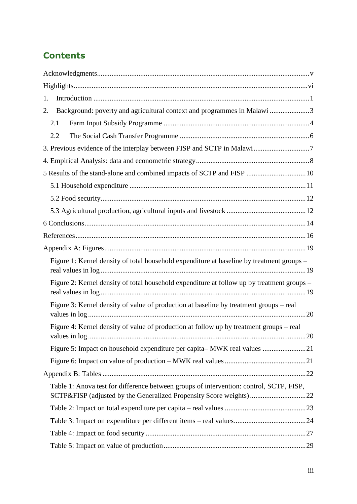# **Contents**

| 1.                                                                                                                                                            |  |
|---------------------------------------------------------------------------------------------------------------------------------------------------------------|--|
| Background: poverty and agricultural context and programmes in Malawi 3<br>2.                                                                                 |  |
| 2.1                                                                                                                                                           |  |
| 2.2                                                                                                                                                           |  |
|                                                                                                                                                               |  |
|                                                                                                                                                               |  |
| 5 Results of the stand-alone and combined impacts of SCTP and FISP  10                                                                                        |  |
|                                                                                                                                                               |  |
|                                                                                                                                                               |  |
|                                                                                                                                                               |  |
|                                                                                                                                                               |  |
|                                                                                                                                                               |  |
|                                                                                                                                                               |  |
| Figure 1: Kernel density of total household expenditure at baseline by treatment groups -                                                                     |  |
| Figure 2: Kernel density of total household expenditure at follow up by treatment groups -                                                                    |  |
| Figure 3: Kernel density of value of production at baseline by treatment groups – real                                                                        |  |
| Figure 4: Kernel density of value of production at follow up by treatment groups – real                                                                       |  |
|                                                                                                                                                               |  |
|                                                                                                                                                               |  |
|                                                                                                                                                               |  |
| Table 1: Anova test for difference between groups of intervention: control, SCTP, FISP,<br>SCTP&FISP (adjusted by the Generalized Propensity Score weights)22 |  |
|                                                                                                                                                               |  |
|                                                                                                                                                               |  |
|                                                                                                                                                               |  |
|                                                                                                                                                               |  |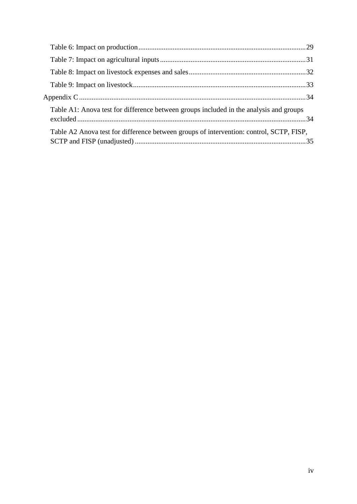| Table A1: Anova test for difference between groups included in the analysis and groups  |  |
|-----------------------------------------------------------------------------------------|--|
| Table A2 Anova test for difference between groups of intervention: control, SCTP, FISP, |  |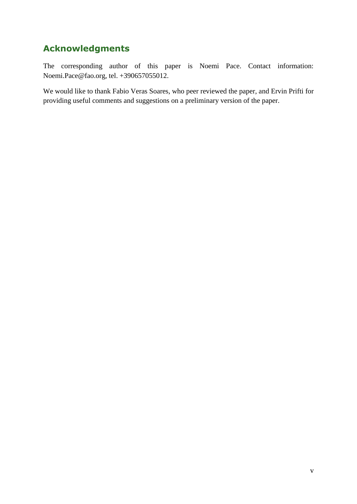# <span id="page-6-0"></span>**Acknowledgments**

The corresponding author of this paper is Noemi Pace. Contact information: Noemi.Pace@fao.org, tel. +390657055012.

We would like to thank Fabio Veras Soares, who peer reviewed the paper, and Ervin Prifti for providing useful comments and suggestions on a preliminary version of the paper.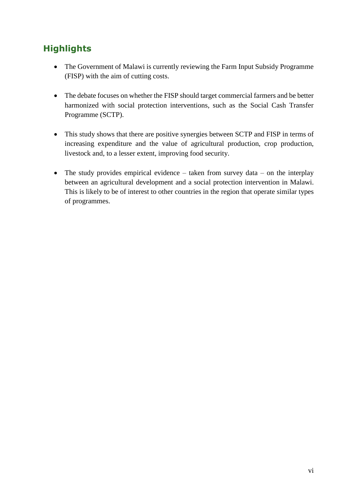## <span id="page-7-0"></span>**Highlights**

- The Government of Malawi is currently reviewing the Farm Input Subsidy Programme (FISP) with the aim of cutting costs.
- The debate focuses on whether the FISP should target commercial farmers and be better harmonized with social protection interventions, such as the Social Cash Transfer Programme (SCTP).
- This study shows that there are positive synergies between SCTP and FISP in terms of increasing expenditure and the value of agricultural production, crop production, livestock and, to a lesser extent, improving food security.
- <span id="page-7-1"></span>• The study provides empirical evidence – taken from survey data – on the interplay between an agricultural development and a social protection intervention in Malawi. This is likely to be of interest to other countries in the region that operate similar types of programmes.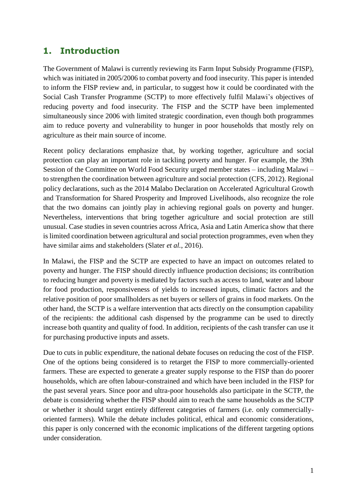### **1. Introduction**

The Government of Malawi is currently reviewing its Farm Input Subsidy Programme (FISP), which was initiated in 2005/2006 to combat poverty and food insecurity. This paper is intended to inform the FISP review and, in particular, to suggest how it could be coordinated with the Social Cash Transfer Programme (SCTP) to more effectively fulfil Malawi's objectives of reducing poverty and food insecurity. The FISP and the SCTP have been implemented simultaneously since 2006 with limited strategic coordination, even though both programmes aim to reduce poverty and vulnerability to hunger in poor households that mostly rely on agriculture as their main source of income.

Recent policy declarations emphasize that, by working together, agriculture and social protection can play an important role in tackling poverty and hunger. For example, the 39th Session of the Committee on World Food Security urged member states – including Malawi – to strengthen the coordination between agriculture and social protection (CFS, 2012). Regional policy declarations, such as the 2014 Malabo Declaration on Accelerated Agricultural Growth and Transformation for Shared Prosperity and Improved Livelihoods, also recognize the role that the two domains can jointly play in achieving regional goals on poverty and hunger. Nevertheless, interventions that bring together agriculture and social protection are still unusual. Case studies in seven countries across Africa, Asia and Latin America show that there is limited coordination between agricultural and social protection programmes, even when they have similar aims and stakeholders (Slater *et al.*, 2016).

In Malawi, the FISP and the SCTP are expected to have an impact on outcomes related to poverty and hunger. The FISP should directly influence production decisions; its contribution to reducing hunger and poverty is mediated by factors such as access to land, water and labour for food production, responsiveness of yields to increased inputs, climatic factors and the relative position of poor smallholders as net buyers or sellers of grains in food markets. On the other hand, the SCTP is a welfare intervention that acts directly on the consumption capability of the recipients: the additional cash dispensed by the programme can be used to directly increase both quantity and quality of food. In addition, recipients of the cash transfer can use it for purchasing productive inputs and assets.

Due to cuts in public expenditure, the national debate focuses on reducing the cost of the FISP. One of the options being considered is to retarget the FISP to more commercially-oriented farmers. These are expected to generate a greater supply response to the FISP than do poorer households, which are often labour-constrained and which have been included in the FISP for the past several years. Since poor and ultra-poor households also participate in the SCTP, the debate is considering whether the FISP should aim to reach the same households as the SCTP or whether it should target entirely different categories of farmers (i.e. only commerciallyoriented farmers). While the debate includes political, ethical and economic considerations, this paper is only concerned with the economic implications of the different targeting options under consideration.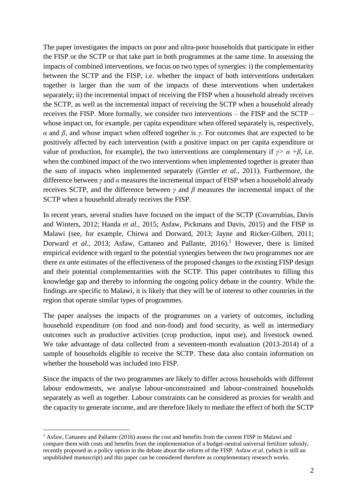The paper investigates the impacts on poor and ultra-poor households that participate in either the FISP or the SCTP or that take part in both programmes at the same time. In assessing the impacts of combined interventions, we focus on two types of synergies: i) the complementarity between the SCTP and the FISP, i.e. whether the impact of both interventions undertaken together is larger than the sum of the impacts of these interventions when undertaken separately; ii) the incremental impact of receiving the FISP when a household already receives the SCTP, as well as the incremental impact of receiving the SCTP when a household already receives the FISP. More formally, we consider two interventions – the FISP and the SCTP – whose impact on, for example, per capita expenditure when offered separately is, respectively, *α* and *β*, and whose impact when offered together is *γ*. For outcomes that are expected to be positively affected by each intervention (with a positive impact on per capita expenditure or value of production, for example), the two interventions are complementary if  $\gamma > \alpha + \beta$ , i.e. when the combined impact of the two interventions when implemented together is greater than the sum of impacts when implemented separately (Gertler *et al*., 2011). Furthermore, the difference between *γ* and *α* measures the incremental impact of FISP when a household already receives SCTP, and the difference between *γ* and *β* measures the incremental impact of the SCTP when a household already receives the FISP.

In recent years, several studies have focused on the impact of the SCTP (Covarrubias, Davis and Winters, 2012; Handa *et al.*, 2015; Asfaw, Pickmans and Davis, 2015) and the FISP in Malawi (see, for example, Chirwa and Dorward, 2013; Jayne and Ricker-Gilbert, 2011; Dorward *et al.*, 2013; Asfaw, Cattaneo and Pallante, 2016).<sup>1</sup> However, there is limited empirical evidence with regard to the potential synergies between the two programmes nor are there *ex ante* estimates of the effectiveness of the proposed changes to the existing FISP design and their potential complementarities with the SCTP. This paper contributes to filling this knowledge gap and thereby to informing the ongoing policy debate in the country. While the findings are specific to Malawi, it is likely that they will be of interest to other countries in the region that operate similar types of programmes.

The paper analyses the impacts of the programmes on a variety of outcomes, including household expenditure (on food and non-food) and food security, as well as intermediary outcomes such as productive activities (crop production, input use), and livestock owned. We take advantage of data collected from a seventeen-month evaluation (2013-2014) of a sample of households eligible to receive the SCTP. These data also contain information on whether the household was included into FISP.

Since the impacts of the two programmes are likely to differ across households with different labour endowments, we analyse labour-unconstrained and labour-constrained households separately as well as together. Labour constraints can be considered as proxies for wealth and the capacity to generate income, and are therefore likely to mediate the effect of both the SCTP

1

<sup>&</sup>lt;sup>1</sup> Asfaw, Cattaneo and Pallante (2016) assess the cost and benefits from the current FISP in Malawi and compare them with costs and benefits from the implementation of a budget-neutral universal fertilizer subsidy, recently proposed as a policy option in the debate about the reform of the FISP. Asfaw *et al*. (which is still an unpublished manuscript) and this paper can be considered therefore as complementary research works.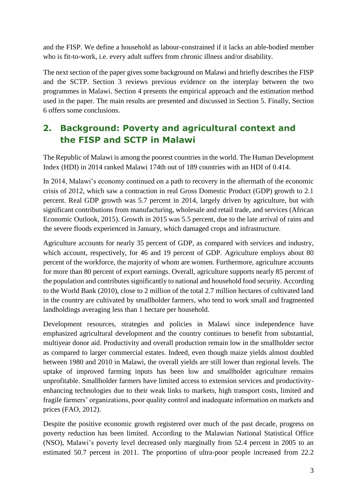and the FISP. We define a household as labour-constrained if it lacks an able-bodied member who is fit-to-work, i.e. every adult suffers from chronic illness and/or disability.

The next section of the paper gives some background on Malawi and briefly describes the FISP and the SCTP. Section 3 reviews previous evidence on the interplay between the two programmes in Malawi. Section 4 presents the empirical approach and the estimation method used in the paper. The main results are presented and discussed in Section 5. Finally, Section 6 offers some conclusions.

## <span id="page-10-0"></span>**2. Background: Poverty and agricultural context and the FISP and SCTP in Malawi**

The Republic of Malawi is among the poorest countries in the world. The Human Development Index (HDI) in 2014 ranked Malawi 174th out of 189 countries with an HDI of 0.414.

In 2014, Malawi's economy continued on a path to recovery in the aftermath of the economic crisis of 2012, which saw a contraction in real Gross Domestic Product (GDP) growth to 2.1 percent. Real GDP growth was 5.7 percent in 2014, largely driven by agriculture, but with significant contributions from manufacturing, wholesale and retail trade, and services (African Economic Outlook, 2015). Growth in 2015 was 5.5 percent, due to the late arrival of rains and the severe floods experienced in January, which damaged crops and infrastructure.

Agriculture accounts for nearly 35 percent of GDP, as compared with services and industry, which account, respectively, for 46 and 19 percent of GDP. Agriculture employs about 80 percent of the workforce, the majority of whom are women. Furthermore, agriculture accounts for more than 80 percent of export earnings. Overall, agriculture supports nearly 85 percent of the population and contributes significantly to national and household food security. According to the World Bank (2010), close to 2 million of the total 2.7 million hectares of cultivated land in the country are cultivated by smallholder farmers, who tend to work small and fragmented landholdings averaging less than 1 hectare per household.

Development resources, strategies and policies in Malawi since independence have emphasized agricultural development and the country continues to benefit from substantial, multiyear donor aid. Productivity and overall production remain low in the smallholder sector as compared to larger commercial estates. Indeed, even though maize yields almost doubled between 1980 and 2010 in Malawi, the overall yields are still lower than regional levels. The uptake of improved farming inputs has been low and smallholder agriculture remains unprofitable. Smallholder farmers have limited access to extension services and productivityenhancing technologies due to their weak links to markets, high transport costs, limited and fragile farmers' organizations, poor quality control and inadequate information on markets and prices (FAO, 2012).

Despite the positive economic growth registered over much of the past decade, progress on poverty reduction has been limited. According to the Malawian National Statistical Office (NSO), Malawi's poverty level decreased only marginally from 52.4 percent in 2005 to an estimated 50.7 percent in 2011. The proportion of ultra-poor people increased from 22.2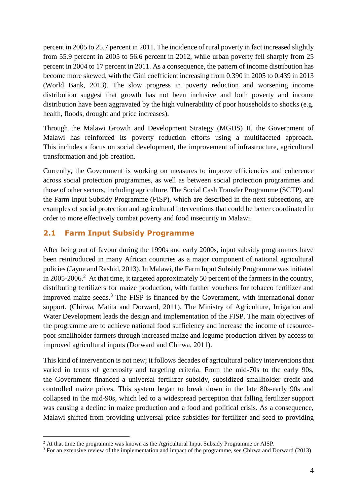percent in 2005 to 25.7 percent in 2011. The incidence of rural poverty in fact increased slightly from 55.9 percent in 2005 to 56.6 percent in 2012, while urban poverty fell sharply from 25 percent in 2004 to 17 percent in 2011. As a consequence, the pattern of income distribution has become more skewed, with the Gini coefficient increasing from 0.390 in 2005 to 0.439 in 2013 (World Bank, 2013). The slow progress in poverty reduction and worsening income distribution suggest that growth has not been inclusive and both poverty and income distribution have been aggravated by the high vulnerability of poor households to shocks (e.g. health, floods, drought and price increases).

Through the Malawi Growth and Development Strategy (MGDS) II, the Government of Malawi has reinforced its poverty reduction efforts using a multifaceted approach. This includes a focus on social development, the improvement of infrastructure, agricultural transformation and job creation.

Currently, the Government is working on measures to improve efficiencies and coherence across social protection programmes, as well as between social protection programmes and those of other sectors, including agriculture. The Social Cash Transfer Programme (SCTP) and the Farm Input Subsidy Programme (FISP), which are described in the next subsections, are examples of social protection and agricultural interventions that could be better coordinated in order to more effectively combat poverty and food insecurity in Malawi.

### <span id="page-11-0"></span>**2.1 Farm Input Subsidy Programme**

<u>.</u>

After being out of favour during the 1990s and early 2000s, input subsidy programmes have been reintroduced in many African countries as a major component of national agricultural policies (Jayne and Rashid, 2013). In Malawi, the Farm Input Subsidy Programme wasinitiated in 2005-2006.<sup>2</sup> At that time, it targeted approximately 50 percent of the farmers in the country, distributing fertilizers for maize production, with further vouchers for tobacco fertilizer and improved maize seeds. $3$  The FISP is financed by the Government, with international donor support. (Chirwa, Matita and Dorward, 2011). The Ministry of Agriculture, Irrigation and Water Development leads the design and implementation of the FISP. The main objectives of the programme are to achieve national food sufficiency and increase the income of resourcepoor smallholder farmers through increased maize and legume production driven by access to improved agricultural inputs (Dorward and Chirwa, 2011).

This kind of intervention is not new; it follows decades of agricultural policy interventions that varied in terms of generosity and targeting criteria. From the mid-70s to the early 90s, the Government financed a universal fertilizer subsidy, subsidized smallholder credit and controlled maize prices. This system began to break down in the late 80s-early 90s and collapsed in the mid-90s, which led to a widespread perception that falling fertilizer support was causing a decline in maize production and a food and political crisis. As a consequence, Malawi shifted from providing universal price subsidies for fertilizer and seed to providing

<sup>&</sup>lt;sup>2</sup> At that time the programme was known as the Agricultural Input Subsidy Programme or AISP.

<sup>3</sup> For an extensive review of the implementation and impact of the programme, see Chirwa and Dorward (2013)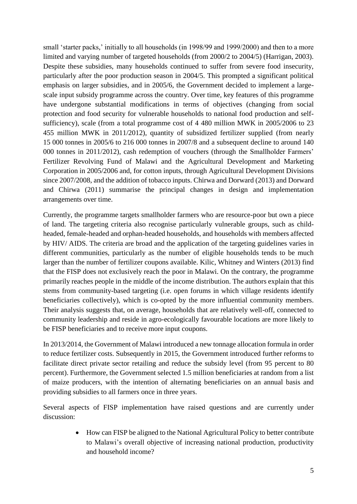small 'starter packs,' initially to all households (in 1998/99 and 1999/2000) and then to a more limited and varying number of targeted households (from 2000/2 to 2004/5) (Harrigan, 2003). Despite these subsidies, many households continued to suffer from severe food insecurity, particularly after the poor production season in 2004/5. This prompted a significant political emphasis on larger subsidies, and in 2005/6, the Government decided to implement a largescale input subsidy programme across the country. Over time, key features of this programme have undergone substantial modifications in terms of objectives (changing from social protection and food security for vulnerable households to national food production and selfsufficiency), scale (from a total programme cost of 4 480 million MWK in 2005/2006 to 23 455 million MWK in 2011/2012), quantity of subsidized fertilizer supplied (from nearly 15 000 tonnes in 2005/6 to 216 000 tonnes in 2007/8 and a subsequent decline to around 140 000 tonnes in 2011/2012), cash redemption of vouchers (through the Smallholder Farmers' Fertilizer Revolving Fund of Malawi and the Agricultural Development and Marketing Corporation in 2005/2006 and, for cotton inputs, through Agricultural Development Divisions since 2007/2008, and the addition of tobacco inputs. Chirwa and Dorward (2013) and Dorward and Chirwa (2011) summarise the principal changes in design and implementation arrangements over time.

Currently, the programme targets smallholder farmers who are resource-poor but own a piece of land. The targeting criteria also recognise particularly vulnerable groups, such as childheaded, female-headed and orphan-headed households, and households with members affected by HIV/ AIDS. The criteria are broad and the application of the targeting guidelines varies in different communities, particularly as the number of eligible households tends to be much larger than the number of fertilizer coupons available. Kilic, Whitney and Winters (2013) find that the FISP does not exclusively reach the poor in Malawi. On the contrary, the programme primarily reaches people in the middle of the income distribution. The authors explain that this stems from community-based targeting (i.e. open forums in which village residents identify beneficiaries collectively), which is co-opted by the more influential community members. Their analysis suggests that, on average, households that are relatively well-off, connected to community leadership and reside in agro-ecologically favourable locations are more likely to be FISP beneficiaries and to receive more input coupons.

In 2013/2014, the Government of Malawi introduced a new tonnage allocation formula in order to reduce fertilizer costs. Subsequently in 2015, the Government introduced further reforms to facilitate direct private sector retailing and reduce the subsidy level (from 95 percent to 80 percent). Furthermore, the Government selected 1.5 million beneficiaries at random from a list of maize producers, with the intention of alternating beneficiaries on an annual basis and providing subsidies to all farmers once in three years.

Several aspects of FISP implementation have raised questions and are currently under discussion:

> How can FISP be aligned to the National Agricultural Policy to better contribute to Malawi's overall objective of increasing national production, productivity and household income?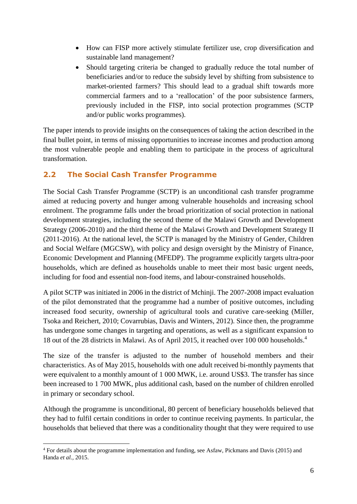- How can FISP more actively stimulate fertilizer use, crop diversification and sustainable land management?
- Should targeting criteria be changed to gradually reduce the total number of beneficiaries and/or to reduce the subsidy level by shifting from subsistence to market-oriented farmers? This should lead to a gradual shift towards more commercial farmers and to a 'reallocation' of the poor subsistence farmers, previously included in the FISP, into social protection programmes (SCTP and/or public works programmes).

The paper intends to provide insights on the consequences of taking the action described in the final bullet point, in terms of missing opportunities to increase incomes and production among the most vulnerable people and enabling them to participate in the process of agricultural transformation.

### <span id="page-13-0"></span>**2.2 The Social Cash Transfer Programme**

The Social Cash Transfer Programme (SCTP) is an unconditional cash transfer programme aimed at reducing poverty and hunger among vulnerable households and increasing school enrolment. The programme falls under the broad prioritization of social protection in national development strategies, including the second theme of the Malawi Growth and Development Strategy (2006-2010) and the third theme of the Malawi Growth and Development Strategy II (2011-2016). At the national level, the SCTP is managed by the Ministry of Gender, Children and Social Welfare (MGCSW), with policy and design oversight by the Ministry of Finance, Economic Development and Planning (MFEDP). The programme explicitly targets ultra-poor households, which are defined as households unable to meet their most basic urgent needs, including for food and essential non-food items, and labour-constrained households.

A pilot SCTP was initiated in 2006 in the district of Mchinji. The 2007-2008 impact evaluation of the pilot demonstrated that the programme had a number of positive outcomes, including increased food security, ownership of agricultural tools and curative care-seeking (Miller, Tsoka and Reichert, 2010; Covarrubias, Davis and Winters, 2012). Since then, the programme has undergone some changes in targeting and operations, as well as a significant expansion to 18 out of the 28 districts in Malawi. As of April 2015, it reached over 100 000 households.<sup>4</sup>

The size of the transfer is adjusted to the number of household members and their characteristics. As of May 2015, households with one adult received bi-monthly payments that were equivalent to a monthly amount of 1 000 MWK, i.e. around US\$3. The transfer has since been increased to 1 700 MWK, plus additional cash, based on the number of children enrolled in primary or secondary school.

Although the programme is unconditional, 80 percent of beneficiary households believed that they had to fulfil certain conditions in order to continue receiving payments. In particular, the households that believed that there was a conditionality thought that they were required to use

<sup>1</sup> <sup>4</sup> For details about the programme implementation and funding, see Asfaw, Pickmans and Davis (2015) and Handa *et al.,* 2015.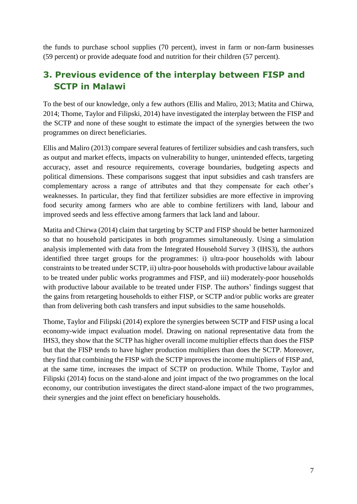the funds to purchase school supplies (70 percent), invest in farm or non-farm businesses (59 percent) or provide adequate food and nutrition for their children (57 percent).

### <span id="page-14-0"></span>**3. Previous evidence of the interplay between FISP and SCTP in Malawi**

To the best of our knowledge, only a few authors (Ellis and Maliro, 2013; Matita and Chirwa, 2014; Thome, Taylor and Filipski, 2014) have investigated the interplay between the FISP and the SCTP and none of these sought to estimate the impact of the synergies between the two programmes on direct beneficiaries.

Ellis and Maliro (2013) compare several features of fertilizer subsidies and cash transfers, such as output and market effects, impacts on vulnerability to hunger, unintended effects, targeting accuracy, asset and resource requirements, coverage boundaries, budgeting aspects and political dimensions. These comparisons suggest that input subsidies and cash transfers are complementary across a range of attributes and that they compensate for each other's weaknesses. In particular, they find that fertilizer subsidies are more effective in improving food security among farmers who are able to combine fertilizers with land, labour and improved seeds and less effective among farmers that lack land and labour.

Matita and Chirwa (2014) claim that targeting by SCTP and FISP should be better harmonized so that no household participates in both programmes simultaneously. Using a simulation analysis implemented with data from the Integrated Household Survey 3 (IHS3), the authors identified three target groups for the programmes: i) ultra-poor households with labour constraints to be treated under SCTP, ii) ultra-poor households with productive labour available to be treated under public works programmes and FISP, and iii) moderately-poor households with productive labour available to be treated under FISP. The authors' findings suggest that the gains from retargeting households to either FISP, or SCTP and/or public works are greater than from delivering both cash transfers and input subsidies to the same households.

Thome, Taylor and Filipski (2014) explore the synergies between SCTP and FISP using a local economy-wide impact evaluation model. Drawing on national representative data from the IHS3, they show that the SCTP has higher overall income multiplier effects than does the FISP but that the FISP tends to have higher production multipliers than does the SCTP. Moreover, they find that combining the FISP with the SCTP improves the income multipliers of FISP and, at the same time, increases the impact of SCTP on production. While Thome, Taylor and Filipski (2014) focus on the stand-alone and joint impact of the two programmes on the local economy, our contribution investigates the direct stand-alone impact of the two programmes, their synergies and the joint effect on beneficiary households.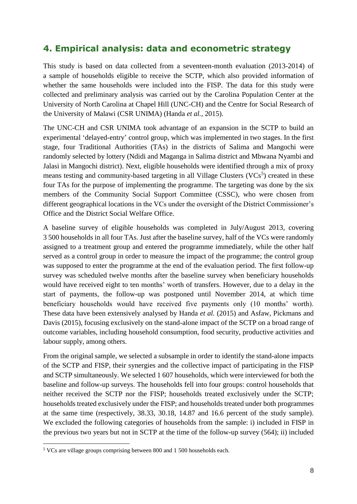### <span id="page-15-0"></span>**4. Empirical analysis: data and econometric strategy**

This study is based on data collected from a seventeen-month evaluation (2013-2014) of a sample of households eligible to receive the SCTP, which also provided information of whether the same households were included into the FISP. The data for this study were collected and preliminary analysis was carried out by the Carolina Population Center at the University of North Carolina at Chapel Hill (UNC-CH) and the Centre for Social Research of the University of Malawi (CSR UNIMA) (Handa *et al.,* 2015).

The UNC-CH and CSR UNIMA took advantage of an expansion in the SCTP to build an experimental 'delayed-entry' control group, which was implemented in two stages. In the first stage, four Traditional Authorities (TAs) in the districts of Salima and Mangochi were randomly selected by lottery (Ndidi and Maganga in Salima district and Mbwana Nyambi and Jalasi in Mangochi district). Next, eligible households were identified through a mix of proxy means testing and community-based targeting in all Village Clusters  $(VCs<sup>5</sup>)$  created in these four TAs for the purpose of implementing the programme. The targeting was done by the six members of the Community Social Support Committee (CSSC), who were chosen from different geographical locations in the VCs under the oversight of the District Commissioner's Office and the District Social Welfare Office.

A baseline survey of eligible households was completed in July/August 2013, covering 3 500 households in all four TAs. Just after the baseline survey, half of the VCs were randomly assigned to a treatment group and entered the programme immediately, while the other half served as a control group in order to measure the impact of the programme; the control group was supposed to enter the programme at the end of the evaluation period. The first follow-up survey was scheduled twelve months after the baseline survey when beneficiary households would have received eight to ten months' worth of transfers. However, due to a delay in the start of payments, the follow-up was postponed until November 2014, at which time beneficiary households would have received five payments only (10 months' worth). These data have been extensively analysed by Handa *et al.* (2015) and Asfaw, Pickmans and Davis (2015), focusing exclusively on the stand-alone impact of the SCTP on a broad range of outcome variables, including household consumption, food security, productive activities and labour supply, among others.

From the original sample, we selected a subsample in order to identify the stand-alone impacts of the SCTP and FISP, their synergies and the collective impact of participating in the FISP and SCTP simultaneously. We selected 1 607 households, which were interviewed for both the baseline and follow-up surveys. The households fell into four groups: control households that neither received the SCTP nor the FISP; households treated exclusively under the SCTP; households treated exclusively under the FISP; and households treated under both programmes at the same time (respectively, 38.33, 30.18, 14.87 and 16.6 percent of the study sample). We excluded the following categories of households from the sample: i) included in FISP in the previous two years but not in SCTP at the time of the follow-up survey (564); ii) included

<sup>1</sup> <sup>5</sup> VCs are village groups comprising between 800 and 1 500 households each.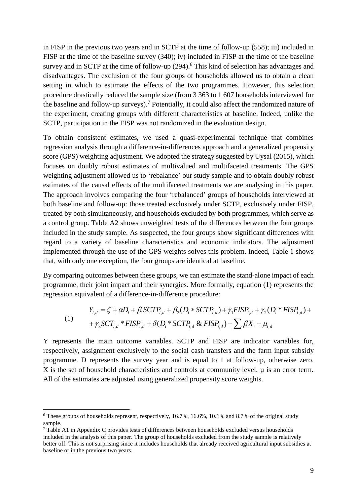in FISP in the previous two years and in SCTP at the time of follow-up (558); iii) included in FISP at the time of the baseline survey (340); iv) included in FISP at the time of the baseline survey and in SCTP at the time of follow-up (294).<sup>6</sup> This kind of selection has advantages and disadvantages. The exclusion of the four groups of households allowed us to obtain a clean setting in which to estimate the effects of the two programmes. However, this selection procedure drastically reduced the sample size (from 3 363 to 1 607 households interviewed for the baseline and follow-up surveys).<sup>7</sup> Potentially, it could also affect the randomized nature of the experiment, creating groups with different characteristics at baseline. Indeed, unlike the SCTP, participation in the FISP was not randomized in the evaluation design.

To obtain consistent estimates, we used a quasi-experimental technique that combines regression analysis through a difference-in-differences approach and a generalized propensity score (GPS) weighting adjustment. We adopted the strategy suggested by Uysal (2015), which focuses on doubly robust estimates of multivalued and multifaceted treatments. The GPS weighting adjustment allowed us to 'rebalance' our study sample and to obtain doubly robust estimates of the causal effects of the multifaceted treatments we are analysing in this paper. The approach involves comparing the four 'rebalanced' groups of households interviewed at both baseline and follow-up: those treated exclusively under SCTP, exclusively under FISP, treated by both simultaneously, and households excluded by both programmes, which serve as a control group. Table A2 shows unweighted tests of the differences between the four groups included in the study sample. As suspected, the four groups show significant differences with regard to a variety of baseline characteristics and economic indicators. The adjustment implemented through the use of the GPS weights solves this problem. Indeed, Table 1 shows that, with only one exception, the four groups are identical at baseline.

By comparing outcomes between these groups, we can estimate the stand-alone impact of each programme, their joint impact and their synergies. More formally, equation (1) represents the regression equivalent of a difference-in-difference procedure:

(1)  
\n
$$
Y_{i,d} = \zeta + \alpha D_i + \beta_1 SCTP_{i,d} + \beta_2 (D_i * SCTP_{i,d}) + \gamma_1 FISP_{i,d} + \gamma_2 (D_i * FISP_{i,d}) +
$$
\n
$$
+ \gamma_3 SCT_{i,d} * FISP_{i,d} + \delta (D_i * SCTP_{i,d} \& FISP_{i,d}) + \sum \beta X_i + \mu_{i,d}
$$

Y represents the main outcome variables. SCTP and FISP are indicator variables for, respectively, assignment exclusively to the social cash transfers and the farm input subsidy programme. D represents the survey year and is equal to 1 at follow-up, otherwise zero.  $X$  is the set of household characteristics and controls at community level.  $\mu$  is an error term. All of the estimates are adjusted using generalized propensity score weights.

1

 $6$  These groups of households represent, respectively, 16.7%, 16.6%, 10.1% and 8.7% of the original study sample.

<sup>7</sup> Table A1 in Appendix C provides tests of differences between households excluded versus households included in the analysis of this paper. The group of households excluded from the study sample is relatively better off. This is not surprising since it includes households that already received agricultural input subsidies at baseline or in the previous two years.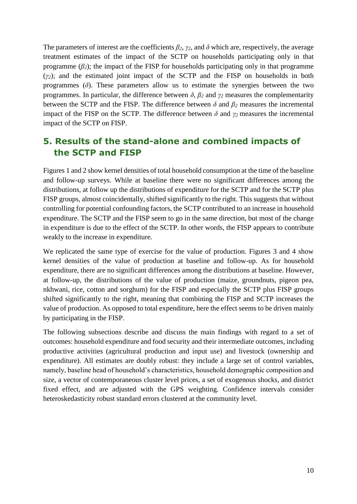The parameters of interest are the coefficients  $\beta_2$ ,  $\gamma_2$ , and  $\delta$  which are, respectively, the average treatment estimates of the impact of the SCTP on households participating only in that programme  $(\beta_2)$ ; the impact of the FISP for households participating only in that programme (*γ2*); and the estimated joint impact of the SCTP and the FISP on households in both programmes  $(\delta)$ . These parameters allow us to estimate the synergies between the two programmes. In particular, the difference between  $\delta$ ,  $\beta_2$  and  $\gamma_2$  measures the complementarity between the SCTP and the FISP. The difference between  $\delta$  and  $\beta_2$  measures the incremental impact of the FISP on the SCTP. The difference between  $\delta$  and  $\gamma$ <sup>2</sup> measures the incremental impact of the SCTP on FISP.

### <span id="page-17-0"></span>**5. Results of the stand-alone and combined impacts of the SCTP and FISP**

Figures 1 and 2 show kernel densities of total household consumption at the time of the baseline and follow-up surveys. While at baseline there were no significant differences among the distributions, at follow up the distributions of expenditure for the SCTP and for the SCTP plus FISP groups, almost coincidentally, shifted significantly to the right. This suggests that without controlling for potential confounding factors, the SCTP contributed to an increase in household expenditure. The SCTP and the FISP seem to go in the same direction, but most of the change in expenditure is due to the effect of the SCTP. In other words, the FISP appears to contribute weakly to the increase in expenditure.

We replicated the same type of exercise for the value of production. Figures 3 and 4 show kernel densities of the value of production at baseline and follow-up. As for household expenditure, there are no significant differences among the distributions at baseline. However, at follow-up, the distributions of the value of production (maize, groundnuts, pigeon pea, nkhwani, rice, cotton and sorghum) for the FISP and especially the SCTP plus FISP groups shifted significantly to the right, meaning that combining the FISP and SCTP increases the value of production. As opposed to total expenditure, here the effect seems to be driven mainly by participating in the FISP.

The following subsections describe and discuss the main findings with regard to a set of outcomes: household expenditure and food security and their intermediate outcomes, including productive activities (agricultural production and input use) and livestock (ownership and expenditure). All estimates are doubly robust: they include a large set of control variables, namely, baseline head of household's characteristics, household demographic composition and size, a vector of contemporaneous cluster level prices, a set of exogenous shocks, and district fixed effect, and are adjusted with the GPS weighting. Confidence intervals consider heteroskedasticity robust standard errors clustered at the community level.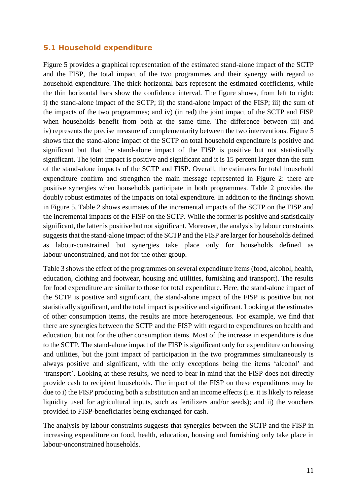#### <span id="page-18-0"></span>**5.1 Household expenditure**

Figure 5 provides a graphical representation of the estimated stand-alone impact of the SCTP and the FISP, the total impact of the two programmes and their synergy with regard to household expenditure. The thick horizontal bars represent the estimated coefficients, while the thin horizontal bars show the confidence interval. The figure shows, from left to right: i) the stand-alone impact of the SCTP; ii) the stand-alone impact of the FISP; iii) the sum of the impacts of the two programmes; and iv) (in red) the joint impact of the SCTP and FISP when households benefit from both at the same time. The difference between iii) and iv) represents the precise measure of complementarity between the two interventions. Figure 5 shows that the stand-alone impact of the SCTP on total household expenditure is positive and significant but that the stand-alone impact of the FISP is positive but not statistically significant. The joint impact is positive and significant and it is 15 percent larger than the sum of the stand-alone impacts of the SCTP and FISP. Overall, the estimates for total household expenditure confirm and strengthen the main message represented in Figure 2: there are positive synergies when households participate in both programmes. Table 2 provides the doubly robust estimates of the impacts on total expenditure. In addition to the findings shown in Figure 5, Table 2 shows estimates of the incremental impacts of the SCTP on the FISP and the incremental impacts of the FISP on the SCTP. While the former is positive and statistically significant, the latter is positive but not significant. Moreover, the analysis by labour constraints suggests that the stand-alone impact of the SCTP and the FISP are larger for households defined as labour-constrained but synergies take place only for households defined as labour-unconstrained, and not for the other group.

Table 3 shows the effect of the programmes on several expenditure items (food, alcohol, health, education, clothing and footwear, housing and utilities, furnishing and transport). The results for food expenditure are similar to those for total expenditure. Here, the stand-alone impact of the SCTP is positive and significant, the stand-alone impact of the FISP is positive but not statistically significant, and the total impact is positive and significant. Looking at the estimates of other consumption items, the results are more heterogeneous. For example, we find that there are synergies between the SCTP and the FISP with regard to expenditures on health and education, but not for the other consumption items. Most of the increase in expenditure is due to the SCTP. The stand-alone impact of the FISP is significant only for expenditure on housing and utilities, but the joint impact of participation in the two programmes simultaneously is always positive and significant, with the only exceptions being the items 'alcohol' and 'transport'. Looking at these results, we need to bear in mind that the FISP does not directly provide cash to recipient households. The impact of the FISP on these expenditures may be due to i) the FISP producing both a substitution and an income effects (i.e. it is likely to release liquidity used for agricultural inputs, such as fertilizers and/or seeds); and ii) the vouchers provided to FISP-beneficiaries being exchanged for cash.

The analysis by labour constraints suggests that synergies between the SCTP and the FISP in increasing expenditure on food, health, education, housing and furnishing only take place in labour-unconstrained households.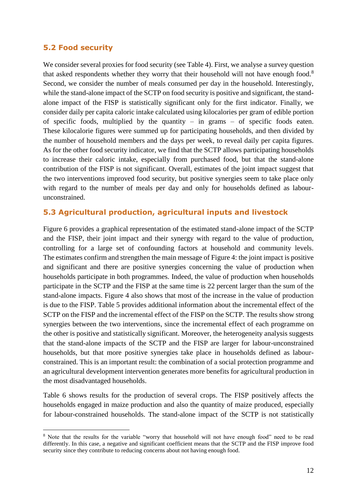#### <span id="page-19-0"></span>**5.2 Food security**

1

We consider several proxies for food security (see Table 4). First, we analyse a survey question that asked respondents whether they worry that their household will not have enough food.<sup>8</sup> Second, we consider the number of meals consumed per day in the household. Interestingly, while the stand-alone impact of the SCTP on food security is positive and significant, the standalone impact of the FISP is statistically significant only for the first indicator. Finally, we consider daily per capita caloric intake calculated using kilocalories per gram of edible portion of specific foods, multiplied by the quantity – in grams – of specific foods eaten. These kilocalorie figures were summed up for participating households, and then divided by the number of household members and the days per week, to reveal daily per capita figures. As for the other food security indicator, we find that the SCTP allows participating households to increase their caloric intake, especially from purchased food, but that the stand-alone contribution of the FISP is not significant. Overall, estimates of the joint impact suggest that the two interventions improved food security, but positive synergies seem to take place only with regard to the number of meals per day and only for households defined as labourunconstrained.

### <span id="page-19-1"></span>**5.3 Agricultural production, agricultural inputs and livestock**

Figure 6 provides a graphical representation of the estimated stand-alone impact of the SCTP and the FISP, their joint impact and their synergy with regard to the value of production, controlling for a large set of confounding factors at household and community levels. The estimates confirm and strengthen the main message of Figure 4: the joint impact is positive and significant and there are positive synergies concerning the value of production when households participate in both programmes. Indeed, the value of production when households participate in the SCTP and the FISP at the same time is 22 percent larger than the sum of the stand-alone impacts. Figure 4 also shows that most of the increase in the value of production is due to the FISP. Table 5 provides additional information about the incremental effect of the SCTP on the FISP and the incremental effect of the FISP on the SCTP. The results show strong synergies between the two interventions, since the incremental effect of each programme on the other is positive and statistically significant. Moreover, the heterogeneity analysis suggests that the stand-alone impacts of the SCTP and the FISP are larger for labour-unconstrained households, but that more positive synergies take place in households defined as labourconstrained. This is an important result: the combination of a social protection programme and an agricultural development intervention generates more benefits for agricultural production in the most disadvantaged households.

Table 6 shows results for the production of several crops. The FISP positively affects the households engaged in maize production and also the quantity of maize produced, especially for labour-constrained households. The stand-alone impact of the SCTP is not statistically

<sup>&</sup>lt;sup>8</sup> Note that the results for the variable "worry that household will not have enough food" need to be read differently. In this case, a negative and significant coefficient means that the SCTP and the FISP improve food security since they contribute to reducing concerns about not having enough food.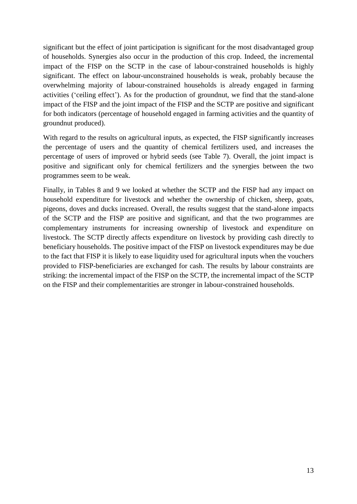significant but the effect of joint participation is significant for the most disadvantaged group of households. Synergies also occur in the production of this crop. Indeed, the incremental impact of the FISP on the SCTP in the case of labour-constrained households is highly significant. The effect on labour-unconstrained households is weak, probably because the overwhelming majority of labour-constrained households is already engaged in farming activities ('ceiling effect'). As for the production of groundnut, we find that the stand-alone impact of the FISP and the joint impact of the FISP and the SCTP are positive and significant for both indicators (percentage of household engaged in farming activities and the quantity of groundnut produced).

With regard to the results on agricultural inputs, as expected, the FISP significantly increases the percentage of users and the quantity of chemical fertilizers used, and increases the percentage of users of improved or hybrid seeds (see Table 7). Overall, the joint impact is positive and significant only for chemical fertilizers and the synergies between the two programmes seem to be weak.

<span id="page-20-0"></span>Finally, in Tables 8 and 9 we looked at whether the SCTP and the FISP had any impact on household expenditure for livestock and whether the ownership of chicken, sheep, goats, pigeons, doves and ducks increased. Overall, the results suggest that the stand-alone impacts of the SCTP and the FISP are positive and significant, and that the two programmes are complementary instruments for increasing ownership of livestock and expenditure on livestock. The SCTP directly affects expenditure on livestock by providing cash directly to beneficiary households. The positive impact of the FISP on livestock expenditures may be due to the fact that FISP it is likely to ease liquidity used for agricultural inputs when the vouchers provided to FISP-beneficiaries are exchanged for cash. The results by labour constraints are striking: the incremental impact of the FISP on the SCTP, the incremental impact of the SCTP on the FISP and their complementarities are stronger in labour-constrained households.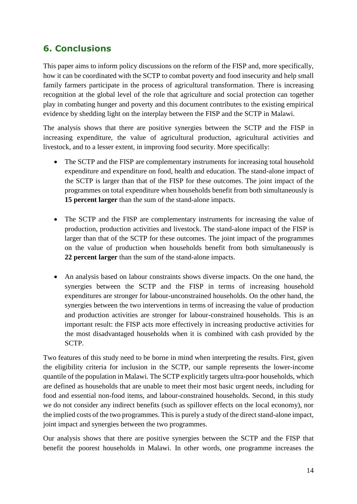### **6. Conclusions**

This paper aims to inform policy discussions on the reform of the FISP and, more specifically, how it can be coordinated with the SCTP to combat poverty and food insecurity and help small family farmers participate in the process of agricultural transformation. There is increasing recognition at the global level of the role that agriculture and social protection can together play in combating hunger and poverty and this document contributes to the existing empirical evidence by shedding light on the interplay between the FISP and the SCTP in Malawi.

The analysis shows that there are positive synergies between the SCTP and the FISP in increasing expenditure, the value of agricultural production, agricultural activities and livestock, and to a lesser extent, in improving food security. More specifically:

- The SCTP and the FISP are complementary instruments for increasing total household expenditure and expenditure on food, health and education. The stand-alone impact of the SCTP is larger than that of the FISP for these outcomes. The joint impact of the programmes on total expenditure when households benefit from both simultaneously is **15 percent larger** than the sum of the stand-alone impacts.
- The SCTP and the FISP are complementary instruments for increasing the value of production, production activities and livestock. The stand-alone impact of the FISP is larger than that of the SCTP for these outcomes. The joint impact of the programmes on the value of production when households benefit from both simultaneously is **22 percent larger** than the sum of the stand-alone impacts.
- An analysis based on labour constraints shows diverse impacts. On the one hand, the synergies between the SCTP and the FISP in terms of increasing household expenditures are stronger for labour-unconstrained households. On the other hand, the synergies between the two interventions in terms of increasing the value of production and production activities are stronger for labour-constrained households. This is an important result: the FISP acts more effectively in increasing productive activities for the most disadvantaged households when it is combined with cash provided by the SCTP.

Two features of this study need to be borne in mind when interpreting the results. First, given the eligibility criteria for inclusion in the SCTP, our sample represents the lower-income quantile of the population in Malawi. The SCTP explicitly targets ultra-poor households, which are defined as households that are unable to meet their most basic urgent needs, including for food and essential non-food items, and labour-constrained households. Second, in this study we do not consider any indirect benefits (such as spillover effects on the local economy), nor the implied costs of the two programmes. This is purely a study of the direct stand-alone impact, joint impact and synergies between the two programmes.

Our analysis shows that there are positive synergies between the SCTP and the FISP that benefit the poorest households in Malawi. In other words, one programme increases the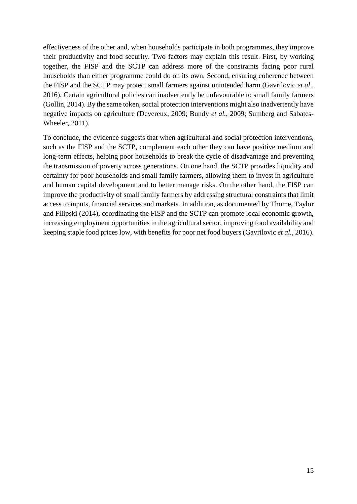effectiveness of the other and, when households participate in both programmes, they improve their productivity and food security. Two factors may explain this result. First, by working together, the FISP and the SCTP can address more of the constraints facing poor rural households than either programme could do on its own. Second, ensuring coherence between the FISP and the SCTP may protect small farmers against unintended harm (Gavrilovic *et al*., 2016). Certain agricultural policies can inadvertently be unfavourable to small family farmers (Gollin, 2014). By the same token, social protection interventions might also inadvertently have negative impacts on agriculture (Devereux, 2009; Bundy *et al.*, 2009; Sumberg and Sabates-Wheeler, 2011).

To conclude, the evidence suggests that when agricultural and social protection interventions, such as the FISP and the SCTP, complement each other they can have positive medium and long-term effects, helping poor households to break the cycle of disadvantage and preventing the transmission of poverty across generations. On one hand, the SCTP provides liquidity and certainty for poor households and small family farmers, allowing them to invest in agriculture and human capital development and to better manage risks. On the other hand, the FISP can improve the productivity of small family farmers by addressing structural constraints that limit access to inputs, financial services and markets. In addition, as documented by Thome, Taylor and Filipski (2014), coordinating the FISP and the SCTP can promote local economic growth, increasing employment opportunities in the agricultural sector, improving food availability and keeping staple food prices low, with benefits for poor net food buyers (Gavrilovic *et al.,* 2016).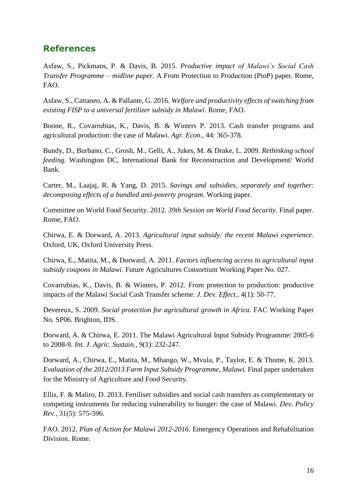### <span id="page-23-0"></span>**References**

Asfaw, S., Pickmans, P. & Davis, B. 2015. *Productive impact of Malawi's Social Cash Transfer Programme – midline paper.* A From Protection to Production (PtoP) paper. Rome, FAO.

Asfaw, S., Cattaneo, A. & Pallante, G. 2016. *Welfare and productivity effects of switching from existing FISP to a universal fertilizer subsidy in Malawi*. Rome, FAO.

Boone, R., Covarrubias, K., Davis, B. & Winters P. 2013. Cash transfer programs and agricultural production: the case of Malawi. *Agr. Econ.,* 44: 365-378.

Bundy, D., Burbano, C., Grosh, M., Gelli, A., Jukes, M. & Drake, L. 2009. *Rethinking school feeding.* Washington DC, International Bank for Reconstruction and Development/ World Bank.

Carter, M., Laajaj, R. & Yang, D. 2015. *Savings and subsidies, separately and together: decomposing effects of a bundled anti-poverty program*. Working paper.

Committee on World Food Security. 2012. *39th Session on World Food Security*. Final paper. Rome, FAO.

Chirwa, E. & Dorward, A. 2013. *Agricultural input subsidy: the recent Malawi experience*. Oxford, UK, Oxford University Press.

Chirwa, E., Matita, M., & Dorward, A. 2011. *Factors influencing access to agricultural input subsidy coupons in Malawi*. Future Agricultures Consortium Working Paper No. 027.

Covarrubias, K., Davis, B. & Winters, P. 2012. From protection to production: productive impacts of the Malawi Social Cash Transfer scheme. *J. Dev. Effect.,* 4(1): 50-77.

Devereux, S. 2009. *Social protection for agricultural growth in Africa*. FAC Working Paper No. SP06. Brighton, IDS.

Dorward, A. & Chirwa, E. 2011. The Malawi Agricultural Input Subsidy Programme: 2005-6 to 2008-9. *Int. J. Agric. Sustain.,* 9(1): 232-247.

Dorward, A., Chirwa, E., Matita, M., Mhango, W., Mvula, P., Taylor, E. & Thome, K. 2013. *Evaluation of the 2012/2013 Farm Input Subsidy Programme, Malawi.* Final paper undertaken for the Ministry of Agriculture and Food Security.

Ellis, F. & Maliro, D. 2013. Fertiliser subsidies and social cash transfers as complementary or competing instruments for reducing vulnerability to hunger: the case of Malawi. *Dev. Policy Rev.,* 31(5): 575-596.

FAO. 2012. *Plan of Action for Malawi 2012-2016*. Emergency Operations and Rehabilitation Division. Rome.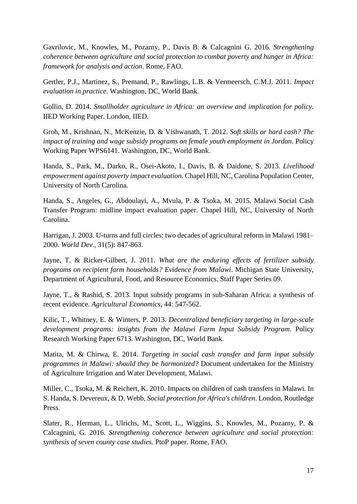Gavrilovic, M., Knowles, M., Pozarny, P., Davis B. & Calcagnini G. 2016. *Strengthening coherence between agriculture and social protection to combat poverty and hunger in Africa: framework for analysis and action*. Rome, FAO.

Gertler, P.J., Martinez, S., Premand, P., Rawlings, L.B. & Vermeersch, C.M.J. 2011. *Impact evaluation in practice*. Washington, DC, World Bank.

Gollin, D. 2014. *Smallholder agriculture in Africa: an overview and implication for policy.*  IIED Working Paper. London, IIED.

Groh, M., Krishnan, N., McKenzie, D. & Vishwanath, T. 2012. *Soft skills or hard cash? The impact of training and wage subsidy programs on female youth employment in Jordan*. Policy Working Paper WPS6141. Washington, DC, World Bank.

Handa, S., Park, M., Darko, R., Osei-Akoto, I., Davis, B. & Daidone, S. 2013. *Livelihood empowerment against poverty impact evaluation.* Chapel Hill, NC, Carolina Population Center, University of North Carolina.

Handa, S., Angeles, G., Abdoulayi, A., Mvula, P. & Tsoka, M. 2015. Malawi Social Cash Transfer Program: midline impact evaluation paper. Chapel Hill, NC, University of North Carolina.

Harrigan, J. 2003. U-turns and full circles: two decades of agricultural reform in Malawi 1981– 2000. *World Dev.,* 31(5): 847-863.

Jayne, T. & Ricker-Gilbert, J. 2011. *What are the enduring effects of fertilizer subsidy programs on recipient farm households? Evidence from Malawi*. Michigan State University, Department of Agricultural, Food, and Resource Economics. Staff Paper Series 09.

Jayne, T., & Rashid, S. 2013. Input subsidy programs in sub-Saharan Africa: a synthesis of recent evidence. *Agricultural Economics*, 44: 547-562.

Kilic, T., Whitney, E. & Winters, P. 2013. *Decentralized beneficiary targeting in large-scale development programs: insights from the Malawi Farm Input Subsidy Program*. Policy Research Working Paper 6713. Washington, DC, World Bank.

Matita, M. & Chirwa, E. 2014. *Targeting in social cash transfer and farm input subsidy programmes in Malawi: should they be harmonized?* Document undertaken for the Ministry of Agriculture Irrigation and Water Development, Malawi.

Miller, C., Tsoka, M. & Reichert, K. 2010. Impacts on children of cash transfers in Malawi. In S. Handa, S. Devereux, & D. Webb, *Social protection for Africa's children*. London, Routledge Press.

Slater, R., Herman, L., Ulrichs, M., Scott, L., Wiggins, S., Knowles, M., Pozarny, P. & Calcagnini, G. 2016. *Strengthening coherence between agriculture and social protection: synthesis of seven county case studies.* PtoP paper. Rome, FAO.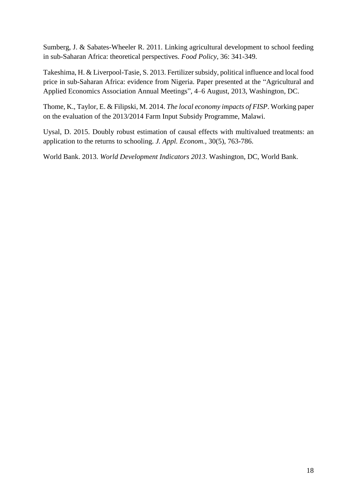Sumberg, J. & Sabates-Wheeler R. 2011. Linking agricultural development to school feeding in sub-Saharan Africa: theoretical perspectives. *Food Policy,* 36: 341-349.

Takeshima, H. & Liverpool-Tasie, S. 2013. Fertilizer subsidy, political influence and local food price in sub-Saharan Africa: evidence from Nigeria. Paper presented at the "Agricultural and Applied Economics Association Annual Meetings", 4–6 August, 2013, Washington, DC.

Thome, K., Taylor, E. & Filipski, M. 2014. *The local economy impacts of FISP*. Working paper on the evaluation of the 2013/2014 Farm Input Subsidy Programme, Malawi.

Uysal, D. 2015. Doubly robust estimation of causal effects with multivalued treatments: an application to the returns to schooling. *J. Appl. Econom.,* 30(5), 763-786.

World Bank. 2013. *World Development Indicators 2013*. Washington, DC, World Bank.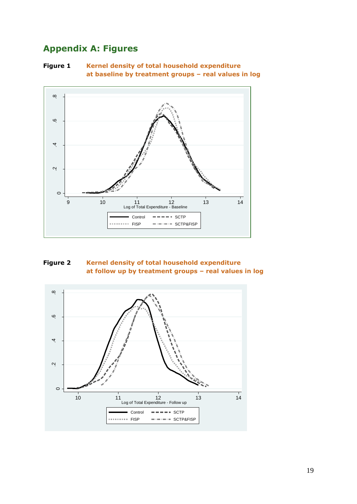## <span id="page-26-1"></span><span id="page-26-0"></span>**Appendix A: Figures**

**Figure 1 Kernel density of total household expenditure at baseline by treatment groups – real values in log**



<span id="page-26-2"></span>

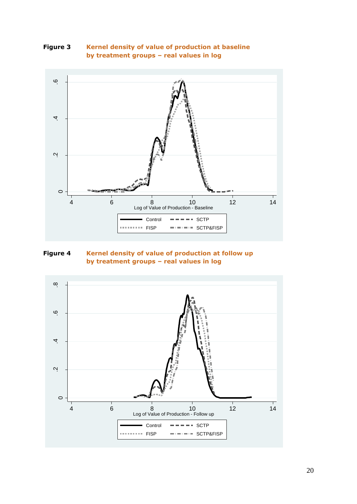<span id="page-27-0"></span>



<span id="page-27-1"></span>**Figure 4 Kernel density of value of production at follow up by treatment groups – real values in log**

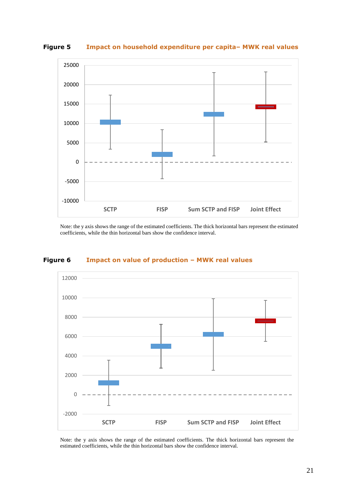

<span id="page-28-0"></span>**Figure 5 Impact on household expenditure per capita– MWK real values**

Note: the y axis shows the range of the estimated coefficients. The thick horizontal bars represent the estimated coefficients, while the thin horizontal bars show the confidence interval.



#### <span id="page-28-1"></span>**Figure 6 Impact on value of production – MWK real values**

Note: the y axis shows the range of the estimated coefficients. The thick horizontal bars represent the estimated coefficients, while the thin horizontal bars show the confidence interval.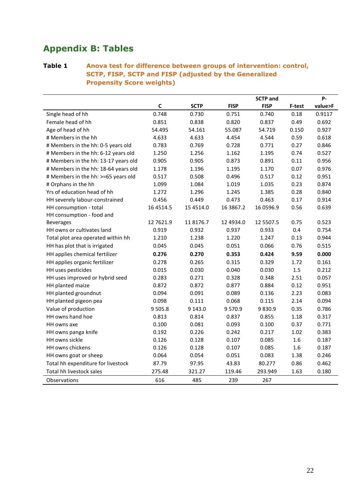## <span id="page-29-0"></span>**Appendix B: Tables**

#### <span id="page-29-1"></span>**Table 1 Anova test for difference between groups of intervention: control, SCTP, FISP, SCTP and FISP (adjusted by the Generalized Propensity Score weights)**

|                                      |             |             |             | <b>SCTP</b> and |        | <b>P-</b> |
|--------------------------------------|-------------|-------------|-------------|-----------------|--------|-----------|
|                                      | $\mathbf c$ | <b>SCTP</b> | <b>FISP</b> | <b>FISP</b>     | F-test | value>F   |
| Single head of hh                    | 0.748       | 0.730       | 0.751       | 0.740           | 0.18   | 0.9117    |
| Female head of hh                    | 0.851       | 0.838       | 0.820       | 0.837           | 0.49   | 0.692     |
| Age of head of hh                    | 54.495      | 54.161      | 55.087      | 54.719          | 0.150  | 0.927     |
| # Members in the hh                  | 4.633       | 4.633       | 4.454       | 4.544           | 0.59   | 0.618     |
| # Members in the hh: 0-5 years old   | 0.783       | 0.769       | 0.728       | 0.771           | 0.27   | 0.846     |
| # Members in the hh: 6-12 years old  | 1.250       | 1.256       | 1.162       | 1.195           | 0.74   | 0.527     |
| # Members in the hh: 13-17 years old | 0.905       | 0.905       | 0.873       | 0.891           | 0.11   | 0.956     |
| # Members in the hh: 18-64 years old | 1.178       | 1.196       | 1.195       | 1.170           | 0.07   | 0.976     |
| # Members in the hh: >=65 years old  | 0.517       | 0.508       | 0.496       | 0.517           | 0.12   | 0.951     |
| # Orphans in the hh                  | 1.099       | 1.084       | 1.019       | 1.035           | 0.23   | 0.874     |
| Yrs of education head of hh          | 1.272       | 1.296       | 1.245       | 1.385           | 0.28   | 0.840     |
| HH severely labour-constrained       | 0.456       | 0.449       | 0.473       | 0.463           | 0.17   | 0.914     |
| HH consumption - total               | 16 45 14.5  | 15 45 14.0  | 16 38 67.2  | 16 0596.9       | 0.56   | 0.639     |
| HH consumption - food and            |             |             |             |                 |        |           |
| <b>Beverages</b>                     | 12 7621.9   | 11 8176.7   | 12 49 34.0  | 12 5507.5       | 0.75   | 0.523     |
| HH owns or cultivates land           | 0.919       | 0.932       | 0.937       | 0.933           | 0.4    | 0.754     |
| Total plot area operated within hh   | 1.210       | 1.238       | 1.220       | 1.247           | 0.13   | 0.944     |
| HH has plot that is irrigated        | 0.045       | 0.045       | 0.051       | 0.066           | 0.76   | 0.515     |
| HH applies chemical fertilizer       | 0.276       | 0.270       | 0.353       | 0.424           | 9.59   | 0.000     |
| HH applies organic fertilizer        | 0.278       | 0.265       | 0.315       | 0.329           | 1.72   | 0.161     |
| HH uses pesticides                   | 0.015       | 0.030       | 0.040       | 0.030           | 1.5    | 0.212     |
| HH uses improved or hybrid seed      | 0.283       | 0.271       | 0.328       | 0.348           | 2.51   | 0.057     |
| HH planted maize                     | 0.872       | 0.872       | 0.877       | 0.884           | 0.12   | 0.951     |
| HH planted groundnut                 | 0.094       | 0.091       | 0.089       | 0.136           | 2.23   | 0.083     |
| HH planted pigeon pea                | 0.098       | 0.111       | 0.068       | 0.115           | 2.14   | 0.094     |
| Value of production                  | 9505.8      | 9 1 4 3 .0  | 9570.9      | 9830.9          | 0.35   | 0.786     |
| HH owns hand hoe                     | 0.813       | 0.814       | 0.837       | 0.855           | 1.18   | 0.317     |
| HH owns axe                          | 0.100       | 0.081       | 0.093       | 0.100           | 0.37   | 0.771     |
| HH owns panga knife                  | 0.192       | 0.226       | 0.242       | 0.217           | 1.02   | 0.383     |
| HH owns sickle                       | 0.126       | 0.128       | 0.107       | 0.085           | 1.6    | 0.187     |
| HH owns chickens                     | 0.126       | 0.128       | 0.107       | 0.085           | 1.6    | 0.187     |
| HH owns goat or sheep                | 0.064       | 0.054       | 0.051       | 0.083           | 1.38   | 0.246     |
| Total hh expenditure for livestock   | 87.79       | 97.95       | 43.83       | 80.277          | 0.86   | 0.462     |
| Total hh livestock sales             | 275.48      | 321.27      | 119.46      | 293.949         | 1.63   | 0.180     |
| Observations                         | 616         | 485         | 239         | 267             |        |           |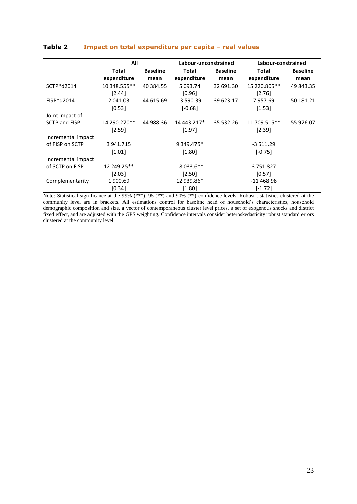|                      | All          | Labour-unconstrained |             |                 | Labour-constrained |                 |  |
|----------------------|--------------|----------------------|-------------|-----------------|--------------------|-----------------|--|
|                      | <b>Total</b> | <b>Baseline</b>      | Total       | <b>Baseline</b> | Total              | <b>Baseline</b> |  |
|                      | expenditure  | mean                 | expenditure | mean            | expenditure        | mean            |  |
| SCTP*d2014           | 10 348.555** | 40 384.55            | 5 093.74    | 32 691.30       | 15 220.805**       | 49 843.35       |  |
|                      | [2.44]       |                      | [0.96]      |                 | [2.76]             |                 |  |
| FISP*d2014           | 2 041.03     | 44 615.69            | $-3590.39$  | 39 623.17       | 7957.69            | 50 181.21       |  |
|                      | [0.53]       |                      | $[-0.68]$   |                 | [1.53]             |                 |  |
| Joint impact of      |              |                      |             |                 |                    |                 |  |
| <b>SCTP and FISP</b> | 14 290.270** | 44 988.36            | 14 443.217* | 35 532.26       | 11 709.515**       | 55 976.07       |  |
|                      | [2.59]       |                      | $[1.97]$    |                 | [2.39]             |                 |  |
| Incremental impact   |              |                      |             |                 |                    |                 |  |
| of FISP on SCTP      | 3 941.715    |                      | 9 349.475*  |                 | $-3511.29$         |                 |  |
|                      | [1.01]       |                      | $[1.80]$    |                 | $[-0.75]$          |                 |  |
| Incremental impact   |              |                      |             |                 |                    |                 |  |
| of SCTP on FISP      | 12 249.25**  |                      | 18 033.6**  |                 | 3751.827           |                 |  |
|                      | [2.03]       |                      | $[2.50]$    |                 | [0.57]             |                 |  |
| Complementarity      | 1 900.69     |                      | 12 939.86*  |                 | $-11468.98$        |                 |  |
|                      | [0.34]       |                      | [1.80]      |                 | $[-1.72]$          |                 |  |

#### <span id="page-30-0"></span>**Table 2 Impact on total expenditure per capita – real values**

Note: Statistical significance at the 99% (\*\*\*), 95 (\*\*) and 90% (\*\*) confidence levels. Robust t-statistics clustered at the community level are in brackets. All estimations control for baseline head of household's characteristics, household demographic composition and size, a vector of contemporaneous cluster level prices, a set of exogenous shocks and district fixed effect, and are adjusted with the GPS weighting. Confidence intervals consider heteroskedasticity robust standard errors clustered at the community level.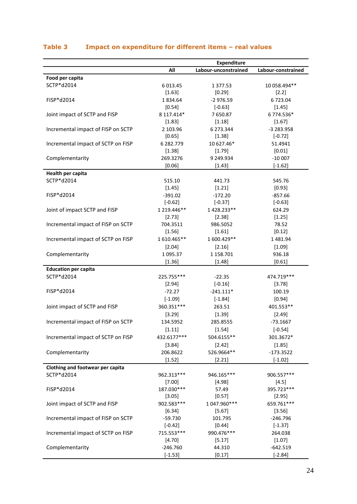|                                    |               | <b>Expenditure</b>   |                    |
|------------------------------------|---------------|----------------------|--------------------|
|                                    | All           | Labour-unconstrained | Labour-constrained |
| Food per capita                    |               |                      |                    |
| SCTP*d2014                         | 6 0 13.45     | 1377.53              | 10 058.494**       |
|                                    | [1.63]        | [0.29]               | [2.2]              |
| FISP*d2014                         | 1834.64       | $-2976.59$           | 6723.04            |
|                                    | [0.54]        | $[-0.63]$            | [1.45]             |
| Joint impact of SCTP and FISP      | 8 117.414*    | 7650.87              | 6 774.536*         |
|                                    | [1.83]        | [1.18]               | [1.67]             |
| Incremental impact of FISP on SCTP | 2 103.96      | 6 273.344            | -3 283.958         |
|                                    | [0.65]        | [1.38]               | $[-0.72]$          |
| Incremental impact of SCTP on FISP | 6 282.779     | 10 627.46*           | 51.4941            |
|                                    | [1.38]        | [1.79]               | [0.01]             |
| Complementarity                    | 269.3276      | 9 249.934            | $-10007$           |
|                                    | [0.06]        | [1.43]               | $[-1.62]$          |
| Health per capita                  |               |                      |                    |
| SCTP*d2014                         | 515.10        | 441.73               | 545.76             |
|                                    | [1.45]        | [1.21]               | [0.93]             |
| FISP*d2014                         | $-391.02$     | $-172.20$            | $-857.66$          |
|                                    | $[-0.62]$     | $[-0.37]$            | $[-0.63]$          |
| Joint of impact SCTP and FISP      | 1 219.446**   | 1428.233**           | 624.29             |
|                                    | [2.73]        | [2.38]               | [1.25]             |
| Incremental impact of FISP on SCTP | 704.3511      | 986.5052             | 78.52              |
|                                    | [1.56]        | [1.61]               | [0.12]             |
| Incremental impact of SCTP on FISP | 1610.465**    | 1600.429**           | 1481.94            |
|                                    | [2.04]        | [2.16]               | [1.09]             |
| Complementarity                    | 1 0 9 5 . 3 7 | 1 158.701            | 936.18             |
|                                    | [1.36]        | [1.48]               | [0.61]             |
| <b>Education per capita</b>        |               |                      |                    |
| SCTP*d2014                         |               |                      |                    |
|                                    | 225.755***    | $-22.35$             | 474.719 ***        |
|                                    | [2.94]        | $[-0.16]$            | [3.78]             |
| FISP*d2014                         | $-72.27$      | $-241.111*$          | 100.19             |
|                                    | $[-1.09]$     | $[-1.84]$            | [0.94]             |
| Joint impact of SCTP and FISP      | 360.351 ***   | 263.51               | 401.553**          |
|                                    | [3.29]        | [1.39]               | [2.49]             |
| Incremental impact of FISP on SCTP | 134.5952      | 285.8555             | $-73.1667$         |
|                                    | [1.11]        | [1.54]               | $[-0.54]$          |
| Incremental impact of SCTP on FISP | 432.6177***   | 504.6155**           | 301.3672*          |
|                                    | [3.84]        | [2.42]               | [1.85]             |
| Complementarity                    | 206.8622      | 526.9664**           | $-173.3522$        |
|                                    | [1.52]        | [2.21]               | $[-1.02]$          |
| Clothing and footwear per capita   |               |                      |                    |
| SCTP*d2014                         | 962.313***    | 946.165***           | 906.557***         |
|                                    | [7.00]        | [4.98]               | [4.5]              |
| FISP*d2014                         | 187.030***    | 57.49                | 395.723***         |
|                                    | [3.05]        | [0.57]               | [2.95]             |
| Joint impact of SCTP and FISP      | 902.583***    | 1 047.960***         | 659.761***         |
|                                    | [6.34]        | [5.67]               | [3.56]             |
| Incremental impact of FISP on SCTP | $-59.730$     | 101.795              | $-246.796$         |
|                                    | $[-0.42]$     | [0.44]               | $[-1.37]$          |
| Incremental impact of SCTP on FISP | 715.553***    | 990.476***           | 264.038            |
|                                    | [4.70]        | [5.17]               | [1.07]             |
| Complementarity                    | $-246.760$    | 44.310               | $-642.519$         |
|                                    | $[-1.53]$     | [0.17]               | $[-2.84]$          |

#### <span id="page-31-0"></span>**Table 3 Impact on expenditure for different items – real values**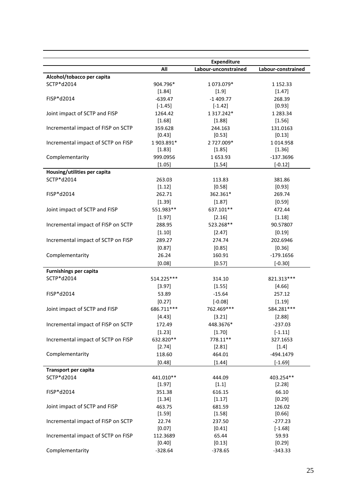|                                    | All        | <b>Expenditure</b><br>Labour-unconstrained | Labour-constrained |
|------------------------------------|------------|--------------------------------------------|--------------------|
| Alcohol/tobacco per capita         |            |                                            |                    |
| SCTP*d2014                         | 904.796*   | 1 073.079*                                 | 1 1 5 2 . 3 3      |
|                                    | [1.84]     | $[1.9]$                                    | [1.47]             |
| $FISP*d2014$                       | $-639.47$  | $-1409.77$                                 | 268.39             |
|                                    | $[-1.45]$  | $[-1.42]$                                  | [0.93]             |
| Joint impact of SCTP and FISP      | 1264.42    | 1 3 1 7 . 2 4 2 *                          | 1 283.34           |
|                                    | [1.68]     | [1.88]                                     | [1.56]             |
| Incremental impact of FISP on SCTP | 359.628    | 244.163                                    | 131.0163           |
|                                    | [0.43]     | [0.53]                                     | [0.13]             |
| Incremental impact of SCTP on FISP | 1 903.891* | 2 727.009*                                 | 1014.958           |
|                                    | [1.83]     | [1.85]                                     | [1.36]             |
| Complementarity                    | 999.0956   | 1653.93                                    | $-137.3696$        |
|                                    | [1.05]     | [1.54]                                     | $[-0.12]$          |
| Housing/utilities per capita       |            |                                            |                    |
| SCTP*d2014                         | 263.03     | 113.83                                     | 381.86             |
|                                    | [1.12]     | $[0.58]$                                   | [0.93]             |
| FISP*d2014                         | 262.71     | 362.361*                                   | 269.74             |
|                                    | [1.39]     | [1.87]                                     | [0.59]             |
| Joint impact of SCTP and FISP      | 551.983**  | 637.101**                                  | 472.44             |
|                                    |            |                                            |                    |
|                                    | [1.97]     | [2.16]                                     | [1.18]             |
| Incremental impact of FISP on SCTP | 288.95     | 523.268**                                  | 90.57807           |
|                                    | [1.10]     | [2.47]                                     | [0.19]             |
| Incremental impact of SCTP on FISP | 289.27     | 274.74                                     | 202.6946           |
|                                    | [0.87]     | [0.85]                                     | [0.36]             |
| Complementarity                    | 26.24      | 160.91                                     | $-179.1656$        |
|                                    | [0.08]     | [0.57]                                     | $[-0.30]$          |
| <b>Furnishings per capita</b>      |            |                                            |                    |
| SCTP*d2014                         | 514.225*** | 314.10                                     | 821.313***         |
|                                    | [3.97]     | [1.55]                                     | [4.66]             |
| FISP*d2014                         | 53.89      | $-15.64$                                   | 257.12             |
|                                    | [0.27]     | $[-0.08]$                                  | [1.19]             |
| Joint impact of SCTP and FISP      | 686.711*** | 762.469***                                 | 584.281***         |
|                                    | [4.43]     | [3.21]                                     | [2.88]             |
| Incremental impact of FISP on SCTP | 172.49     | 448.3676*                                  | $-237.03$          |
|                                    | [1.23]     | [1.70]                                     | $[-1.11]$          |
| Incremental impact of SCTP on FISP | 632.820**  | 778.11**                                   | 327.1653           |
|                                    | [2.74]     | [2.81]                                     | $[1.4]$            |
| Complementarity                    | 118.60     | 464.01                                     | -494.1479          |
|                                    | [0.48]     | [1.44]                                     | $[-1.69]$          |
| Transport per capita               |            |                                            |                    |
| SCTP*d2014                         | 441.010**  | 444.09                                     | 403.254**          |
|                                    | [1.97]     | [1.1]                                      | [2.28]             |
| FISP*d2014                         | 351.38     | 616.15                                     | 66.10              |
|                                    | [1.34]     | [1.17]                                     | [0.29]             |
| Joint impact of SCTP and FISP      | 463.75     | 681.59                                     | 126.02             |
|                                    | [1.59]     | [1.58]                                     | [0.66]             |
| Incremental impact of FISP on SCTP | 22.74      | 237.50                                     | $-277.23$          |
|                                    | [0.07]     | [0.41]                                     | $[-1.68]$          |
| Incremental impact of SCTP on FISP | 112.3689   | 65.44                                      | 59.93              |
|                                    | [0.40]     | [0.13]                                     | [0.29]             |
| Complementarity                    | $-328.64$  | $-378.65$                                  | $-343.33$          |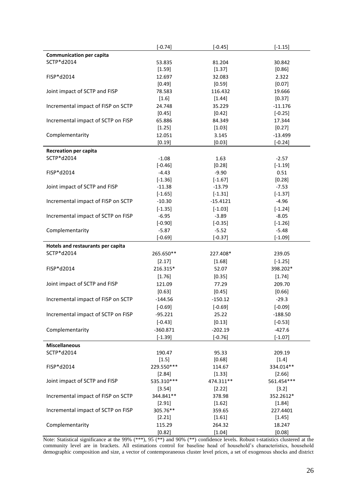|                                    | $[-0.74]$               | $[-0.45]$        | $[-1.15]$            |
|------------------------------------|-------------------------|------------------|----------------------|
| <b>Communication per capita</b>    |                         |                  |                      |
| SCTP*d2014                         | 53.835                  | 81.204           | 30.842               |
|                                    | [1.59]                  | [1.37]           | [0.86]               |
| FISP*d2014                         | 12.697                  | 32.083           | 2.322                |
|                                    | [0.49]                  | [0.59]           | [0.07]               |
| Joint impact of SCTP and FISP      | 78.583                  | 116.432          | 19.666               |
|                                    | $[1.6]$                 | [1.44]           | [0.37]               |
| Incremental impact of FISP on SCTP | 24.748                  | 35.229           | $-11.176$            |
|                                    | [0.45]                  | [0.42]           | $[-0.25]$            |
| Incremental impact of SCTP on FISP | 65.886                  | 84.349           | 17.344               |
|                                    | [1.25]                  | [1.03]           | [0.27]               |
| Complementarity                    | 12.051                  | 3.145            | $-13.499$            |
|                                    | [0.19]                  | [0.03]           | $[-0.24]$            |
| <b>Recreation per capita</b>       |                         |                  |                      |
| SCTP*d2014                         | $-1.08$                 | 1.63             | $-2.57$              |
|                                    | $[-0.46]$               | [0.28]           | $[-1.19]$            |
| FISP*d2014                         | $-4.43$                 | $-9.90$          | 0.51                 |
|                                    | $[-1.36]$               | $[-1.67]$        | [0.28]               |
| Joint impact of SCTP and FISP      | $-11.38$                | $-13.79$         | $-7.53$              |
|                                    | $[-1.65]$               | $[-1.31]$        | $[-1.37]$            |
| Incremental impact of FISP on SCTP | $-10.30$                | $-15.4121$       | $-4.96$              |
|                                    | $[-1.35]$               | $[-1.03]$        | $[-1.24]$            |
| Incremental impact of SCTP on FISP | $-6.95$                 | $-3.89$          | $-8.05$              |
|                                    | $[-0.90]$               | $[-0.35]$        | $[-1.26]$            |
| Complementarity                    | $-5.87$                 | $-5.52$          | $-5.48$              |
|                                    | $[-0.69]$               | $[-0.37]$        | $[-1.09]$            |
| Hotels and restaurants per capita  |                         |                  |                      |
| SCTP*d2014                         | 265.650**               | 227.408*         | 239.05               |
|                                    | [2.17]                  | [1.68]           | $[-1.25]$            |
| FISP*d2014                         | 216.315*                | 52.07            | 398.202*             |
|                                    | [1.76]                  | [0.35]           | [1.74]               |
| Joint impact of SCTP and FISP      | 121.09                  | 77.29            | 209.70               |
|                                    | [0.63]                  | [0.45]           | [0.66]               |
| Incremental impact of FISP on SCTP | $-144.56$               | $-150.12$        | $-29.3$              |
|                                    | $[-0.69]$               | $[-0.69]$        | $[-0.09]$            |
| Incremental impact of SCTP on FISP | $-95.221$               | 25.22            | $-188.50$            |
|                                    |                         |                  |                      |
|                                    | $[-0.43]$               | [0.13]           | $[-0.53]$            |
| Complementarity                    | $-360.871$<br>$[-1.39]$ | $-202.19$        | $-427.6$             |
|                                    |                         | $[-0.76]$        | $[-1.07]$            |
| <b>Miscellaneous</b>               |                         |                  |                      |
| SCTP*d2014                         | 190.47                  | 95.33            | 209.19               |
| FISP*d2014                         | $[1.5]$                 | [0.68]           | $[1.4]$              |
|                                    | 229.550***              | 114.67           | 334.014**            |
|                                    | [2.84]                  | [1.33]           | [2.66]<br>561.454*** |
| Joint impact of SCTP and FISP      | 535.310 ***             | 474.311**        |                      |
|                                    | [3.54]                  | [2.22]           | [3.2]                |
| Incremental impact of FISP on SCTP | 344.841**               | 378.98           | 352.2612*            |
| Incremental impact of SCTP on FISP | [2.91]<br>305.76**      | [1.62]           | [1.84]               |
|                                    |                         | 359.65           | 227.4401             |
|                                    |                         |                  |                      |
|                                    | [2.21]                  | [1.61]           | [1.45]               |
| Complementarity                    | 115.29<br>[0.82]        | 264.32<br>[1.04] | 18.247<br>[0.08]     |

Note: Statistical significance at the 99% (\*\*\*), 95 (\*\*) and 90% (\*\*) confidence levels. Robust t-statistics clustered at the community level are in brackets. All estimations control for baseline head of household's characteristics, household demographic composition and size, a vector of contemporaneous cluster level prices, a set of exogenous shocks and district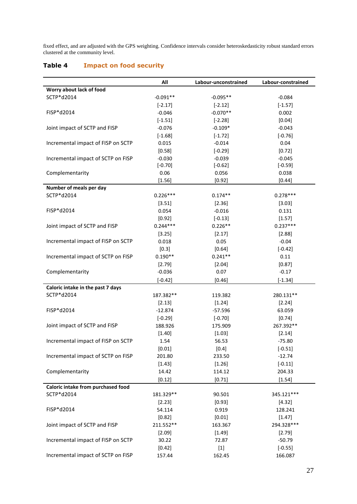fixed effect, and are adjusted with the GPS weighting. Confidence intervals consider heteroskedasticity robust standard errors clustered at the community level.

#### <span id="page-34-0"></span>**Table 4 Impact on food security**

|                                    | All        | Labour-unconstrained | Labour-constrained |
|------------------------------------|------------|----------------------|--------------------|
| Worry about lack of food           |            |                      |                    |
| SCTP*d2014                         | $-0.091**$ | $-0.095**$           | $-0.084$           |
|                                    | $[-2.17]$  | $[-2.12]$            | $[-1.57]$          |
| FISP*d2014                         | $-0.046$   | $-0.070**$           | 0.002              |
|                                    | $[-1.51]$  | $[-2.28]$            | [0.04]             |
| Joint impact of SCTP and FISP      | $-0.076$   | $-0.109*$            | $-0.043$           |
|                                    | $[-1.68]$  | $[-1.72]$            | $[-0.76]$          |
| Incremental impact of FISP on SCTP | 0.015      | $-0.014$             | 0.04               |
|                                    | [0.58]     | $[-0.29]$            | [0.72]             |
| Incremental impact of SCTP on FISP | $-0.030$   | $-0.039$             | $-0.045$           |
|                                    | $[-0.70]$  | $[-0.62]$            | $[-0.59]$          |
| Complementarity                    | 0.06       | 0.056                | 0.038              |
|                                    | [1.56]     | [0.92]               | [0.44]             |
| Number of meals per day            |            |                      |                    |
| SCTP*d2014                         | $0.226***$ | $0.174**$            | $0.278***$         |
|                                    | [3.51]     | [2.36]               | [3.03]             |
| FISP*d2014                         | 0.054      | $-0.016$             | 0.131              |
|                                    | [0.92]     | $[-0.13]$            | [1.57]             |
| Joint impact of SCTP and FISP      | $0.244***$ | $0.226**$            | $0.237***$         |
|                                    | [3.25]     | [2.17]               | [2.88]             |
| Incremental impact of FISP on SCTP | 0.018      | 0.05                 | $-0.04$            |
|                                    | [0.3]      | [0.64]               | $[-0.42]$          |
| Incremental impact of SCTP on FISP | $0.190**$  | $0.241**$            | 0.11               |
|                                    | [2.79]     | [2.04]               | [0.87]             |
| Complementarity                    | $-0.036$   | 0.07                 | $-0.17$            |
|                                    | $[-0.42]$  | [0.46]               | $[-1.34]$          |
| Caloric intake in the past 7 days  |            |                      |                    |
| SCTP*d2014                         | 187.382**  | 119.382              | 280.131**          |
|                                    | [2.13]     | [1.24]               | [2.24]             |
| FISP*d2014                         | $-12.874$  | $-57.596$            | 63.059             |
|                                    | $[-0.29]$  | $[-0.70]$            | [0.74]             |
| Joint impact of SCTP and FISP      | 188.926    | 175.909              | 267.392**          |
|                                    | [1.40]     | [1.03]               | [2.14]             |
| Incremental impact of FISP on SCTP | 1.54       | 56.53                | $-75.80$           |
|                                    | [0.01]     | $[0.4]$              | $[-0.51]$          |
| Incremental impact of SCTP on FISP | 201.80     | 233.50               | $-12.74$           |
|                                    | [1.43]     | [1.26]               | $[-0.11]$          |
| Complementarity                    | 14.42      | 114.12               | 204.33             |
|                                    | [0.12]     | [0.71]               | [1.54]             |
| Caloric intake from purchased food |            |                      |                    |
| SCTP*d2014                         | 181.329**  | 90.501               | 345.121***         |
|                                    | [2.23]     | [0.93]               | [4.32]             |
| FISP*d2014                         | 54.114     | 0.919                | 128.241            |
|                                    | [0.82]     | [0.01]               | [1.47]             |
| Joint impact of SCTP and FISP      | 211.552**  | 163.367              | 294.328***         |
|                                    | [2.09]     | [1.49]               | [2.79]             |
| Incremental impact of FISP on SCTP | 30.22      | 72.87                | $-50.79$           |
|                                    | [0.42]     | $[1]$                | $[-0.55]$          |
| Incremental impact of SCTP on FISP | 157.44     | 162.45               | 166.087            |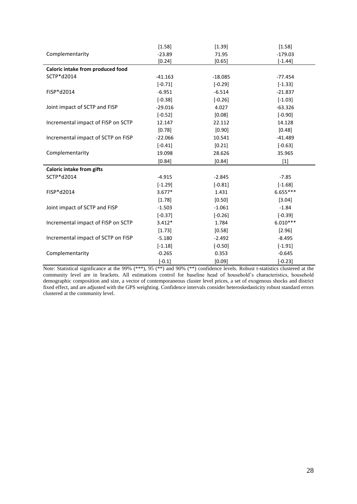|                                    | [1.58]    | [1.39]    | [1.58]     |
|------------------------------------|-----------|-----------|------------|
| Complementarity                    | $-23.89$  | 71.95     | $-179.03$  |
|                                    | [0.24]    | [0.65]    | $[-1.44]$  |
| Caloric intake from produced food  |           |           |            |
| SCTP*d2014                         | $-41.163$ | $-18.085$ | $-77.454$  |
|                                    | $[-0.71]$ | $[-0.29]$ | $[-1.33]$  |
| FISP*d2014                         | $-6.951$  | $-6.514$  | $-21.837$  |
|                                    | $[-0.38]$ | $[-0.26]$ | $[-1.03]$  |
| Joint impact of SCTP and FISP      | $-29.016$ | 4.027     | $-63.326$  |
|                                    | $[-0.52]$ | [0.08]    | $[-0.90]$  |
| Incremental impact of FISP on SCTP | 12.147    | 22.112    | 14.128     |
|                                    | [0.78]    | $[0.90]$  | [0.48]     |
| Incremental impact of SCTP on FISP | $-22.066$ | 10.541    | $-41.489$  |
|                                    | $[-0.41]$ | [0.21]    | $[-0.63]$  |
| Complementarity                    | 19.098    | 28.626    | 35.965     |
|                                    | [0.84]    | [0.84]    | $[1]$      |
| <b>Caloric intake from gifts</b>   |           |           |            |
| SCTP*d2014                         | $-4.915$  | $-2.845$  | $-7.85$    |
|                                    | $[-1.29]$ | $[-0.81]$ | $[-1.68]$  |
| FISP*d2014                         | $3.677*$  | 1.431     | $6.655***$ |
|                                    | [1.78]    | [0.50]    | [3.04]     |
| Joint impact of SCTP and FISP      | $-1.503$  | $-1.061$  | $-1.84$    |
|                                    | $[-0.37]$ | $[-0.26]$ | $[-0.39]$  |
| Incremental impact of FISP on SCTP | $3.412*$  | 1.784     | $6.010***$ |
|                                    | [1.73]    | [0.58]    | [2.96]     |
| Incremental impact of SCTP on FISP | $-5.180$  | $-2.492$  | $-8.495$   |
|                                    | $[-1.18]$ | $[-0.50]$ | $[-1.91]$  |
| Complementarity                    | $-0.265$  | 0.353     | $-0.645$   |
|                                    | $[-0.1]$  | [0.09]    | $[-0.23]$  |

<span id="page-35-0"></span>Note: Statistical significance at the 99% (\*\*\*), 95 (\*\*) and 90% (\*\*) confidence levels. Robust t-statistics clustered at the community level are in brackets. All estimations control for baseline head of household's characteristics, household demographic composition and size, a vector of contemporaneous cluster level prices, a set of exogenous shocks and district fixed effect, and are adjusted with the GPS weighting. Confidence intervals consider heteroskedasticity robust standard errors clustered at the community level.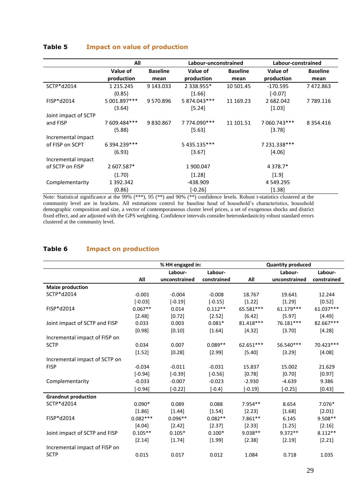#### **Table 5 Impact on value of production**

|                      | All             | Labour-unconstrained |                   |                 | Labour-constrained |                 |  |
|----------------------|-----------------|----------------------|-------------------|-----------------|--------------------|-----------------|--|
|                      | Value of        | <b>Baseline</b>      | Value of          | <b>Baseline</b> | Value of           | <b>Baseline</b> |  |
|                      | production      | mean                 | production        | mean            | production         | mean            |  |
| SCTP*d2014           | 1 2 1 5 . 2 4 5 | 9 143.033            | 2 3 3 8 . 9 5 5 * | 10 501.45       | $-170.595$         | 7472.863        |  |
|                      | (0.85)          |                      | $[1.66]$          |                 | $[-0.07]$          |                 |  |
| FISP*d2014           | 5 001.897***    | 9570.896             | 5 874.043***      | 11 169.23       | 2 682.042          | 7 789.116       |  |
|                      | (3.64)          |                      | [5.24]            |                 | [1.03]             |                 |  |
| Joint impact of SCTP |                 |                      |                   |                 |                    |                 |  |
| and FISP             | 7609.484***     | 9830.867             | 7 774.090***      | 11 101.51       | 7 060.743***       | 8 3 5 4 . 4 1 6 |  |
|                      | (5.88)          |                      | [5.63]            |                 | [3.78]             |                 |  |
| Incremental impact   |                 |                      |                   |                 |                    |                 |  |
| of FISP on SCPT      | 6 394.239***    |                      | 5 435.135***      |                 | 7 231.338***       |                 |  |
|                      | (6.93)          |                      | $[3.67]$          |                 | [4.06]             |                 |  |
| Incremental impact   |                 |                      |                   |                 |                    |                 |  |
| of SCTP on FISP      | 2 607.587*      |                      | 1 900.047         |                 | 4 3 7 8.7*         |                 |  |
|                      | (1.70)          |                      | [1.28]            |                 | $[1.9]$            |                 |  |
| Complementarity      | 1 392.342       |                      | -438.909          |                 | 4 549.295          |                 |  |
|                      | (0.86)          |                      | $[-0.26]$         |                 | [1.38]             |                 |  |

Note: Statistical significance at the 99% (\*\*\*), 95 (\*\*) and 90% (\*\*) confidence levels. Robust t-statistics clustered at the community level are in brackets. All estimations control for baseline head of household's characteristics, household demographic composition and size, a vector of contemporaneous cluster level prices, a set of exogenous shocks and district fixed effect, and are adjusted with the GPS weighting. Confidence intervals consider heteroskedasticity robust standard errors clustered at the community level.

#### <span id="page-36-0"></span>**Table 6 Impact on production**

|                               |            | % HH engaged in: |             | <b>Quantity produced</b> |               |             |
|-------------------------------|------------|------------------|-------------|--------------------------|---------------|-------------|
|                               |            | Labour-          | Labour-     |                          | Labour-       | Labour-     |
|                               | All        | unconstrained    | constrained | All                      | unconstrained | constrained |
| <b>Maize production</b>       |            |                  |             |                          |               |             |
| SCTP*d2014                    | $-0.001$   | $-0.004$         | $-0.008$    | 18.767                   | 19.641        | 12.244      |
|                               | $[-0.03]$  | $[-0.19]$        | $[-0.15]$   | [1.22]                   | [1.29]        | [0.52]      |
| FISP*d2014                    | $0.067**$  | 0.014            | $0.112**$   | 65.581***                | $61.179***$   | 61.037***   |
|                               | [2.48]     | [0.72]           | [2.52]      | [6.42]                   | [5.97]        | [4.49]      |
| Joint impact of SCTP and FISP | 0.033      | 0.003            | $0.081*$    | 81.418***                | 76.181***     | 82.667***   |
|                               | [0.98]     | [0.10]           | [1.64]      | [4.32]                   | [3.70]        | [4.28]      |
| Incremental impact of FISP on |            |                  |             |                          |               |             |
| <b>SCTP</b>                   | 0.034      | 0.007            | $0.089**$   | 62.651***                | 56.540***     | 70.423***   |
|                               | [1.52]     | [0.28]           | [2.99]      | [5.40]                   | [3.29]        | [4.08]      |
| Incremental impact of SCTP on |            |                  |             |                          |               |             |
| <b>FISP</b>                   | $-0.034$   | $-0.011$         | $-0.031$    | 15.837                   | 15.002        | 21.629      |
|                               | $[-0.94]$  | $[-0.39]$        | $[-0.56]$   | [0.78]                   | [0.70]        | [0.97]      |
| Complementarity               | $-0.033$   | $-0.007$         | $-0.023$    | $-2.930$                 | $-4.639$      | 9.386       |
|                               | $[-0.94]$  | $[-0.22]$        | $[-0.4]$    | $[-0.19]$                | $[-0.25]$     | [0.43]      |
| <b>Grandnut production</b>    |            |                  |             |                          |               |             |
| SCTP*d2014                    | $0.090*$   | 0.089            | 0.088       | $7.954**$                | 8.654         | $7.076*$    |
|                               | [1.86]     | [1.44]           | $[1.54]$    | [2.23]                   | [1.68]        | [2.01]      |
| FISP*d2014                    | $0.082***$ | $0.096**$        | $0.082**$   | $7.861**$                | 6.145         | 9.508**     |
|                               | [4.04]     | [2.42]           | [2.37]      | [2.33]                   | [1.25]        | [2.16]      |
| Joint impact of SCTP and FISP | $0.105**$  | $0.105*$         | $0.100*$    | $9.038**$                | $9.372**$     | $8.112**$   |
|                               | [2.14]     | [1.74]           | [1.99]      | [2.38]                   | [2.19]        | [2.21]      |
| Incremental impact of FISP on |            |                  |             |                          |               |             |
| <b>SCTP</b>                   | 0.015      | 0.017            | 0.012       | 1.084                    | 0.718         | 1.035       |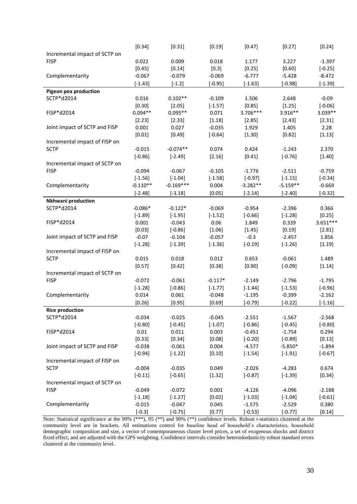|                               | [0.34]     | [0.31]      | [0.19]    | [0.47]     | [0.27]     | [0.24]    |
|-------------------------------|------------|-------------|-----------|------------|------------|-----------|
| Incremental impact of SCTP on |            |             |           |            |            |           |
| <b>FISP</b>                   | 0.022      | 0.009       | 0.018     | 1.177      | 3.227      | $-1.397$  |
|                               | [0.45]     | [0.14]      | $[0.3]$   | [0.25]     | [0.60]     | $[-0.25]$ |
| Complementarity               | $-0.067$   | $-0.079$    | $-0.069$  | $-6.777$   | $-5.428$   | $-8.472$  |
|                               | $[-1.43]$  | $[-1.2]$    | $[-0.95]$ | $[-1.63]$  | $[-0.98]$  | $[-1.39]$ |
| Pigeon pea production         |            |             |           |            |            |           |
| SCTP*d2014                    | 0.016      | $0.102**$   | $-0.109$  | 1.506      | 2.648      | $-0.09$   |
|                               | [0.30]     | [2.05]      | $[-1.57]$ | [0.85]     | [1.25]     | $[-0.06]$ |
| FISP*d2014                    | $0.094**$  | $0.095**$   | 0.071     | 3.706***   | 3.916**    | $3.039**$ |
|                               | [2.23]     | [2.33]      | [1.18]    | [2.85]     | [2.43]     | [2.31]    |
| Joint impact of SCTP and FISP | 0.001      | 0.027       | $-0.035$  | 1.929      | 1.405      | 2.28      |
|                               | [0.01]     | [0.49]      | $[-0.64]$ | [1.30]     | [0.82]     | [1.13]    |
| Incremental impact of FISP on |            |             |           |            |            |           |
| <b>SCTP</b>                   | $-0.015$   | $-0.074**$  | 0.074     | 0.424      | $-1.243$   | 2.370     |
|                               | $[-0.86]$  | $[-2.49]$   | [2.16]    | [0.41]     | $[-0.76]$  | [1.40]    |
| Incremental impact of SCTP on |            |             |           |            |            |           |
| <b>FISP</b>                   | $-0.094$   | $-0.067$    | $-0.105$  | $-1.776$   | $-2.511$   | $-0.759$  |
|                               | $[-1.56]$  | $[-1.04]$   | $[-1.58]$ | $[-0.97]$  | $[-1.15]$  | $[-0.34]$ |
| Complementarity               | $-0.110**$ | $-0.169***$ | 0.004     | $-3.282**$ | $-5.159**$ | $-0.669$  |
|                               |            |             |           | $[-2.14]$  |            |           |
|                               | $[-2.48]$  | $[-3.18]$   | [0.05]    |            | $[-2.40]$  | $[-0.32]$ |
| Nkhwani production            |            |             |           |            |            |           |
| SCTP*d2014                    | $-0.086*$  | $-0.122*$   | $-0.069$  | $-0.954$   | $-2.396$   | 0.366     |
|                               | $[-1.89]$  | $[-1.95]$   | $[-1.52]$ | $[-0.66]$  | $[-1.28]$  | [0.25]    |
| FISP*d2014                    | 0.001      | $-0.043$    | 0.06      | 1.849      | 0.339      | 3.651***  |
|                               | [0.03]     | $[-0.86]$   | [1.06]    | [1.45]     | [0.19]     | [2.81]    |
| Joint impact of SCTP and FISP | $-0.07$    | $-0.104$    | $-0.057$  | $-0.3$     | $-2.457$   | 1.856     |
|                               | $[-1.28]$  | $[-1.39]$   | $[-1.36]$ | $[-0.19]$  | $[-1.26]$  | [1.19]    |
| Incremental impact of FISP on |            |             |           |            |            |           |
| <b>SCTP</b>                   | 0.015      | 0.018       | 0.012     | 0.653      | $-0.061$   | 1.489     |
|                               | [0.57]     | [0.42]      | [0.38]    | [0.90]     | $[-0.09]$  | [1.14]    |
| Incremental impact of SCTP on |            |             |           |            |            |           |
| <b>FISP</b>                   | $-0.072$   | $-0.061$    | $-0.117*$ | $-2.149$   | $-2.796$   | $-1.795$  |
|                               | $[-1.28]$  | $[-0.86]$   | $[-1.77]$ | $[-1.44]$  | $[-1.53]$  | $[-0.96]$ |
| Complementarity               | 0.014      | 0.061       | $-0.048$  | $-1.195$   | $-0.399$   | $-2.162$  |
|                               | [0.26]     | [0.95]      | [0.69]    | $[-0.79]$  | $[-0.22]$  | $[-1.16]$ |
| <b>Rice production</b>        |            |             |           |            |            |           |
| SCTP*d2014                    | $-0.034$   | $-0.025$    | $-0.045$  | $-2.551$   | $-1.567$   | $-2.568$  |
|                               | $[-0.80]$  | $[-0.45]$   | $[-1.07]$ | $[-0.86]$  | $[-0.45]$  | $[-0.80]$ |
| FISP*d2014                    | 0.01       | 0.011       | 0.003     | $-0.451$   | $-1.754$   | 0.294     |
|                               | [0.33]     | [0.34]      | [0.08]    | $[-0.20]$  | $[-0.89]$  | [0.13]    |
| Joint impact of SCTP and FISP | $-0.038$   | $-0.061$    | 0.004     | $-4.577$   | $-5.850*$  | $-1.894$  |
|                               | $[-0.94]$  | $[-1.22]$   | [0.10]    | $[-1.54]$  | $[-1.91]$  | $[-0.67]$ |
| Incremental impact of FISP on |            |             |           |            |            |           |
| <b>SCTP</b>                   | $-0.004$   | $-0.035$    | 0.049     | $-2.026$   | $-4.283$   | 0.674     |
|                               | $[-0.11]$  | $[-0.65]$   | [1.32]    | $[-0.87]$  | $[-1.39]$  | [0.34]    |
| Incremental impact of SCTP on |            |             |           |            |            |           |
| <b>FISP</b>                   | $-0.049$   | $-0.072$    | 0.001     | $-4.126$   | $-4.096$   | $-2.188$  |
|                               | $[-1.18]$  | $[-1.27]$   | [0.02]    | $[-1.03]$  | $[-1.04]$  | $[-0.61]$ |
| Complementarity               | $-0.015$   | $-0.047$    | 0.045     | $-1.575$   | $-2.529$   | 0.380     |
|                               | $[-0.3]$   | $[-0.75]$   | [0.77]    | $[-0.53]$  | $[-0.77]$  | [0.14]    |

<span id="page-37-0"></span>Note: Statistical significance at the 99% (\*\*\*), 95 (\*\*) and 90% (\*\*) confidence levels. Robust t-statistics clustered at the community level are in brackets. All estimations control for baseline head of household's characteristics, household demographic composition and size, a vector of contemporaneous cluster level prices, a set of exogenous shocks and district fixed effect, and are adjusted with the GPS weighting. Confidence intervals consider heteroskedasticity robust standard errors clustered at the community level.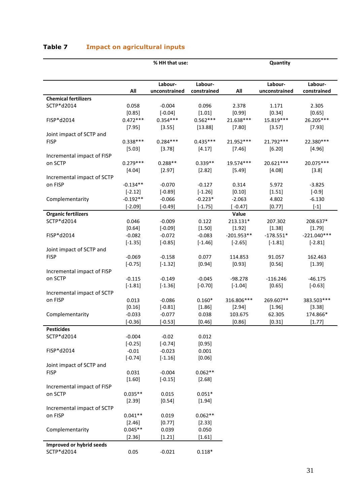| Table 7 |  | <b>Impact on agricultural inputs</b> |  |
|---------|--|--------------------------------------|--|
|         |  |                                      |  |

|                             |            | % HH that use: | Quantity    |              |               |               |
|-----------------------------|------------|----------------|-------------|--------------|---------------|---------------|
|                             |            |                |             |              |               |               |
|                             |            | Labour-        | Labour-     |              | Labour-       | Labour-       |
|                             | All        | unconstrained  | constrained | All          | unconstrained | constrained   |
| <b>Chemical fertilizers</b> |            |                |             |              |               |               |
| SCTP*d2014                  | 0.058      | $-0.004$       | 0.096       | 2.378        | 1.171         | 2.305         |
|                             | [0.85]     | $[-0.04]$      | [1.01]      | [0.99]       | [0.34]        | [0.65]        |
| FISP*d2014                  | $0.472***$ | $0.354***$     | $0.562***$  | 21.638***    | 15.819***     | 26.205***     |
|                             | [7.95]     | [3.55]         | [13.88]     | [7.80]       | [3.57]        | [7.93]        |
| Joint impact of SCTP and    |            |                |             |              |               |               |
| <b>FISP</b>                 | $0.338***$ | $0.284***$     | $0.435***$  | 21.952***    | 21.792***     | 22.380***     |
|                             | [5.03]     | [3.78]         | [4.17]      | [7.46]       | [6.20]        | [4.96]        |
| Incremental impact of FISP  |            |                |             |              |               |               |
| on SCTP                     | $0.279***$ | $0.288**$      | $0.339**$   | 19.574***    | 20.621***     | 20.075***     |
|                             | [4.04]     | [2.97]         | [2.82]      | [5.49]       | [4.08]        | [3.8]         |
| Incremental impact of SCTP  |            |                |             |              |               |               |
| on FISP                     | $-0.134**$ | $-0.070$       | $-0.127$    | 0.314        | 5.972         | $-3.825$      |
|                             | $[-2.12]$  | $[-0.89]$      | $[-1.26]$   | [0.10]       | [1.51]        | $[-0.9]$      |
| Complementarity             | $-0.192**$ | $-0.066$       | $-0.223*$   | $-2.063$     | 4.802         | $-6.130$      |
|                             | $[-2.09]$  | $[-0.49]$      | $[-1.75]$   | $[-0.47]$    | [0.77]        | $[-1]$        |
| <b>Organic fertilizers</b>  |            |                |             | Value        |               |               |
| SCTP*d2014                  | 0.046      | $-0.009$       | 0.122       | 213.131*     | 207.302       | 208.637*      |
|                             | [0.64]     | $[-0.09]$      | [1.50]      | [1.92]       | [1.38]        | [1.79]        |
| FISP*d2014                  | $-0.082$   | $-0.072$       | $-0.083$    | $-201.953**$ | $-178.551*$   | $-221.040***$ |
|                             | $[-1.35]$  | $[-0.85]$      | $[-1.46]$   | $[-2.65]$    | $[-1.81]$     | $[-2.81]$     |
| Joint impact of SCTP and    |            |                |             |              |               |               |
| <b>FISP</b>                 | $-0.069$   | $-0.158$       | 0.077       | 114.853      | 91.057        | 162.463       |
|                             | $[-0.75]$  | $[-1.32]$      | [0.94]      | [0.93]       | [0.56]        | [1.39]        |
| Incremental impact of FISP  |            |                |             |              |               |               |
| on SCTP                     | $-0.115$   | $-0.149$       | $-0.045$    | $-98.278$    | $-116.246$    | $-46.175$     |
|                             | $[-1.81]$  | $[-1.36]$      | $[-0.70]$   | $[-1.04]$    | [0.65]        | $[-0.63]$     |
| Incremental impact of SCTP  |            |                |             |              |               |               |
| on FISP                     | 0.013      | $-0.086$       | $0.160*$    | 316.806***   | 269.607**     | 383.503***    |
|                             | [0.16]     | $[-0.81]$      | [1.86]      | [2.94]       | [1.96]        | [3.38]        |
| Complementarity             | $-0.033$   | $-0.077$       | 0.038       | 103.675      | 62.305        | 174.866*      |
|                             | $[-0.36]$  | $[-0.53]$      | [0.46]      | [0.86]       | [0.31]        | [1.77]        |
| <b>Pesticides</b>           |            |                |             |              |               |               |
| SCTP*d2014                  | $-0.004$   | $-0.02$        | 0.012       |              |               |               |
|                             | $[-0.25]$  | $[-0.74]$      | [0.95]      |              |               |               |
| FISP*d2014                  | $-0.01$    | $-0.023$       | 0.001       |              |               |               |
|                             | $[-0.74]$  | $[-1.16]$      | [0.06]      |              |               |               |
| Joint impact of SCTP and    |            |                |             |              |               |               |
| <b>FISP</b>                 | 0.031      | $-0.004$       | $0.062**$   |              |               |               |
|                             | [1.60]     | $[-0.15]$      | [2.68]      |              |               |               |
| Incremental impact of FISP  |            |                |             |              |               |               |
| on SCTP                     | $0.035**$  | 0.015          | $0.051*$    |              |               |               |
|                             | [2.39]     | [0.54]         | [1.94]      |              |               |               |
| Incremental impact of SCTP  |            |                |             |              |               |               |
| on FISP                     | $0.041**$  | 0.019          | $0.062**$   |              |               |               |
|                             | [2.46]     | [0.77]         | [2.33]      |              |               |               |
| Complementarity             | $0.045**$  | 0.039          | 0.050       |              |               |               |
|                             | [2.36]     | [1.21]         | [1.61]      |              |               |               |
| Improved or hybrid seeds    |            |                |             |              |               |               |
| SCTP*d2014                  |            |                |             |              |               |               |
|                             | 0.05       | $-0.021$       | $0.118*$    |              |               |               |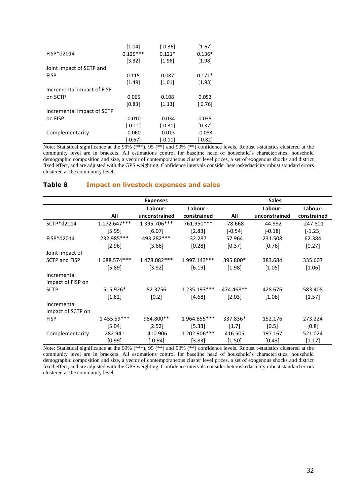|                            | [1.04]     | $[-0.36]$ | [1.67]    |
|----------------------------|------------|-----------|-----------|
| FISP*d2014                 | $0.125***$ | $0.121*$  | $0.136*$  |
|                            | [3.32]     | $[1.96]$  | [1.98]    |
| Joint impact of SCTP and   |            |           |           |
| <b>FISP</b>                | 0.115      | 0.087     | $0.171*$  |
|                            | [1.49]     | $[1.01]$  | [1.93]    |
| Incremental impact of FISP |            |           |           |
| on SCTP                    | 0.065      | 0.108     | 0.053     |
|                            | [0.83]     | [1.13]    | $[0.76]$  |
| Incremental impact of SCTP |            |           |           |
| on FISP                    | $-0.010$   | $-0.034$  | 0.035     |
|                            | $[-0.11]$  | $[-0.31]$ | [0.37]    |
| Complementarity            | $-0.060$   | $-0.013$  | $-0.083$  |
|                            | $[-0.67]$  | $[-0.11]$ | $[-0.82]$ |

Note: Statistical significance at the 99% (\*\*\*), 95 (\*\*) and 90% (\*\*) confidence levels. Robust t-statistics clustered at the community level are in brackets. All estimations control for baseline head of household's characteristics, household demographic composition and size, a vector of contemporaneous cluster level prices, a set of exogenous shocks and district fixed effect, and are adjusted with the GPS weighting. Confidence intervals consider heteroskedasticity robust standard errors clustered at the community level.

#### **Expenses Sales All Labourunconstrained Labour constrained All Labourunconstrained Labourconstrained** SCTP\*d2014 1 172.647\*\*\* 1 395.706\*\*\* 761.950\*\*\* -78.668 -44.992 -247.801  $[5.95]$   $[6.07]$   $[2.83]$   $[-0.54]$   $[-0.18]$   $[-1.23]$ FISP\*d2014 232.985\*\*\* 493.282\*\*\* 32.287 57.964 231.508 62.384  $[2.96]$   $[3.66]$   $[0.28]$   $[0.37]$   $[0.76]$   $[0.27]$ Joint impact of SCTP and FISP 1 688.574\*\*\* 1 478.082\*\*\* 1 997.143\*\*\* 395.800\* 383.684 335.607 [5.89] [3.92] [6.19] [1.98] [1.05] [1.06] Incremental impact of FISP on SCTP 515.926\* 82.3756 1 235.193\*\*\* 474.468\*\* 428.676 583.408  $[1.82]$   $[0.2]$   $[4.68]$   $[2.03]$   $[1.08]$   $[1.57]$ Incremental impact of SCTP on FISP 1 455.59\*\*\* 984.800\*\* 1 964.855\*\*\* 337.836\* 152.176 273.224  $[5.04]$   $[2.52]$   $[5.33]$   $[1.7]$   $[0.5]$   $[0.8]$ Complementarity 282.941 -410.906 1 202.906\*\*\* 416.505 197.167 521.024  $[0.99]$   $[-0.94]$   $[3.83]$   $[1.50]$   $[0.43]$   $[1.17]$

#### <span id="page-39-0"></span>**Table 8 Impact on livestock expenses and sales**

Note: Statistical significance at the 99% (\*\*\*), 95 (\*\*) and 90% (\*\*) confidence levels. Robust t-statistics clustered at the community level are in brackets. All estimations control for baseline head of household's characteristics, household demographic composition and size, a vector of contemporaneous cluster level prices, a set of exogenous shocks and district fixed effect, and are adjusted with the GPS weighting. Confidence intervals consider heteroskedasticity robust standard errors clustered at the community level.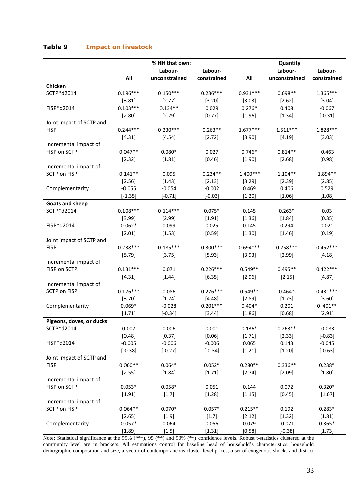|                          |            | % HH that own: |             | Quantity   |               |             |  |
|--------------------------|------------|----------------|-------------|------------|---------------|-------------|--|
|                          |            | Labour-        | Labour-     |            | Labour-       | Labour-     |  |
|                          | All        | unconstrained  | constrained | All        | unconstrained | constrained |  |
| Chicken                  |            |                |             |            |               |             |  |
| SCTP*d2014               | $0.196***$ | $0.150***$     | $0.236***$  | $0.931***$ | $0.698**$     | $1.365***$  |  |
|                          | [3.81]     | [2.77]         | [3.20]      | [3.03]     | [2.62]        | [3.04]      |  |
| FISP*d2014               | $0.103***$ | $0.134**$      | 0.029       | $0.276*$   | 0.408         | $-0.067$    |  |
|                          | [2.80]     | [2.29]         | [0.77]      | [1.96]     | [1.34]        | $[-0.31]$   |  |
| Joint impact of SCTP and |            |                |             |            |               |             |  |
| <b>FISP</b>              | $0.244***$ | $0.230***$     | $0.263**$   | $1.677***$ | $1.511***$    | 1.828 ***   |  |
|                          | [4.31]     | [4.54]         | [2.72]      | [3.90]     | [4.19]        | [3.03]      |  |
| Incremental impact of    |            |                |             |            |               |             |  |
| FISP on SCTP             | $0.047**$  | $0.080*$       | 0.027       | $0.746*$   | $0.814**$     | 0.463       |  |
|                          | [2.32]     | [1.81]         | [0.46]      | [1.90]     | [2.68]        | [0.98]      |  |
| Incremental impact of    |            |                |             |            |               |             |  |
| <b>SCTP on FISP</b>      | $0.141**$  | 0.095          | $0.234**$   | $1.400***$ | $1.104**$     | 1.894**     |  |
|                          | [2.56]     | [1.43]         | [2.13]      | [3.29]     | [2.39]        | [2.85]      |  |
| Complementarity          | $-0.055$   | $-0.054$       | $-0.002$    | 0.469      | 0.406         | 0.529       |  |
|                          | $[-1.35]$  | $[-0.71]$      | $[-0.03]$   | [1.20]     | [1.06]        | [1.08]      |  |
| <b>Goats and sheep</b>   |            |                |             |            |               |             |  |
| SCTP*d2014               | $0.108***$ | $0.114***$     | $0.075*$    | 0.145      | $0.263*$      | 0.03        |  |
|                          | [3.99]     | [2.99]         | [1.91]      | [1.36]     | [1.84]        | [0.35]      |  |
| FISP*d2014               | $0.062*$   | 0.099          | 0.025       | 0.145      | 0.294         | 0.021       |  |
|                          | [2.01]     | [1.53]         | [0.59]      | [1.30]     | [1.46]        | [0.19]      |  |
| Joint impact of SCTP and |            |                |             |            |               |             |  |
| <b>FISP</b>              | $0.238***$ | $0.185***$     | $0.300***$  | $0.694***$ | $0.758***$    | $0.452***$  |  |
| Incremental impact of    | [5.79]     | [3.75]         | [5.93]      | [3.93]     | [2.99]        | [4.18]      |  |
| FISP on SCTP             | $0.131***$ | 0.071          | $0.226***$  | $0.549**$  | $0.495**$     | $0.422***$  |  |
|                          | [4.31]     | [1.44]         | [6.35]      | [2.96]     | [2.15]        | [4.87]      |  |
| Incremental impact of    |            |                |             |            |               |             |  |
| <b>SCTP on FISP</b>      | $0.176***$ | 0.086          | $0.276***$  | $0.549**$  | $0.464*$      | $0.431***$  |  |
|                          | [3.70]     | [1.24]         | [4.48]      | [2.89]     | [1.73]        | [3.60]      |  |
| Complementarity          | $0.069*$   | $-0.028$       | $0.201***$  | $0.404*$   | 0.201         | $0.401**$   |  |
|                          | [1.71]     | $[-0.34]$      | [3.44]      | [1.86]     | [0.68]        | [2.91]      |  |
| Pigeons, doves, or ducks |            |                |             |            |               |             |  |
| SCTP*d2014               | 0.007      | 0.006          | 0.001       | $0.136*$   | $0.263**$     | $-0.083$    |  |
|                          | [0.48]     | [0.37]         | [0.06]      | [1.71]     | [2.33]        | $[-0.83]$   |  |
| FISP*d2014               | $-0.005$   | $-0.006$       | $-0.006$    | 0.065      | 0.143         | $-0.045$    |  |
|                          | $[-0.38]$  | $[-0.27]$      | $[-0.34]$   | [1.21]     | [1.20]        | $[-0.63]$   |  |
| Joint impact of SCTP and |            |                |             |            |               |             |  |
| <b>FISP</b>              | $0.060**$  | $0.064*$       | $0.052*$    | $0.280**$  | $0.336**$     | $0.238*$    |  |
|                          | [2.55]     | [1.84]         | [1.71]      | [2.74]     | [2.09]        | [1.80]      |  |
| Incremental impact of    |            |                |             |            |               |             |  |
| FISP on SCTP             | $0.053*$   | $0.058*$       | 0.051       | 0.144      | 0.072         | $0.320*$    |  |
|                          | [1.91]     | $[1.7]$        | [1.28]      | [1.15]     | [0.45]        | [1.67]      |  |
| Incremental impact of    |            |                |             |            |               |             |  |
| SCTP on FISP             | $0.064**$  | $0.070*$       | $0.057*$    | $0.215**$  | 0.192         | $0.283*$    |  |
|                          | [2.65]     | [1.9]          | [1.7]       | [2.12]     | [1.32]        | [1.81]      |  |
| Complementarity          | $0.057*$   | 0.064          | 0.056       | 0.079      | $-0.071$      | $0.365*$    |  |
|                          | [1.89]     | [1.5]          | [1.31]      | [0.58]     | $[-0.38]$     | [1.73]      |  |

#### <span id="page-40-0"></span>**Table 9 Impact on livestock**

Note: Statistical significance at the 99% (\*\*\*), 95 (\*\*) and 90% (\*\*) confidence levels. Robust t-statistics clustered at the community level are in brackets. All estimations control for baseline head of household's characteristics, household demographic composition and size, a vector of contemporaneous cluster level prices, a set of exogenous shocks and district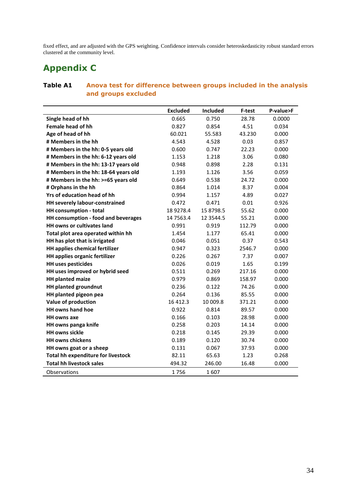fixed effect, and are adjusted with the GPS weighting. Confidence intervals consider heteroskedasticity robust standard errors clustered at the community level.

### <span id="page-41-0"></span>**Appendix C**

#### <span id="page-41-1"></span>**Table A1 Anova test for difference between groups included in the analysis and groups excluded**

|                                           | <b>Excluded</b> | Included     | F-test | P-value>F |
|-------------------------------------------|-----------------|--------------|--------|-----------|
| Single head of hh                         | 0.665           | 0.750        | 28.78  | 0.0000    |
| <b>Female head of hh</b>                  | 0.827           | 0.854        | 4.51   | 0.034     |
| Age of head of hh                         | 60.021          | 55.583       | 43.230 | 0.000     |
| # Members in the hh                       | 4.543           | 4.528        | 0.03   | 0.857     |
| # Members in the hh: 0-5 years old        | 0.600           | 0.747        | 22.23  | 0.000     |
| # Members in the hh: 6-12 years old       | 1.153           | 1.218        | 3.06   | 0.080     |
| # Members in the hh: 13-17 years old      | 0.948           | 0.898        | 2.28   | 0.131     |
| # Members in the hh: 18-64 years old      | 1.193           | 1.126        | 3.56   | 0.059     |
| # Members in the hh: >=65 years old       | 0.649           | 0.538        | 24.72  | 0.000     |
| # Orphans in the hh                       | 0.864           | 1.014        | 8.37   | 0.004     |
| Yrs of education head of hh               | 0.994           | 1.157        | 4.89   | 0.027     |
| HH severely labour-constrained            | 0.472           | 0.471        | 0.01   | 0.926     |
| HH consumption - total                    | 18 9278.4       | 15 8798.5    | 55.62  | 0.000     |
| HH consumption - food and beverages       | 14 75 63.4      | 12 3 5 4 4.5 | 55.21  | 0.000     |
| HH owns or cultivates land                | 0.991           | 0.919        | 112.79 | 0.000     |
| Total plot area operated within hh        | 1.454           | 1.177        | 65.41  | 0.000     |
| HH has plot that is irrigated             | 0.046           | 0.051        | 0.37   | 0.543     |
| HH applies chemical fertilizer            | 0.947           | 0.323        | 2546.7 | 0.000     |
| <b>HH applies organic fertilizer</b>      | 0.226           | 0.267        | 7.37   | 0.007     |
| <b>HH uses pesticides</b>                 | 0.026           | 0.019        | 1.65   | 0.199     |
| HH uses improved or hybrid seed           | 0.511           | 0.269        | 217.16 | 0.000     |
| <b>HH planted maize</b>                   | 0.979           | 0.869        | 158.97 | 0.000     |
| <b>HH planted groundnut</b>               | 0.236           | 0.122        | 74.26  | 0.000     |
| HH planted pigeon pea                     | 0.264           | 0.136        | 85.55  | 0.000     |
| Value of production                       | 16 412.3        | 10 009.8     | 371.21 | 0.000     |
| <b>HH owns hand hoe</b>                   | 0.922           | 0.814        | 89.57  | 0.000     |
| <b>HH owns axe</b>                        | 0.166           | 0.103        | 28.98  | 0.000     |
| HH owns panga knife                       | 0.258           | 0.203        | 14.14  | 0.000     |
| <b>HH owns sickle</b>                     | 0.218           | 0.145        | 29.39  | 0.000     |
| <b>HH owns chickens</b>                   | 0.189           | 0.120        | 30.74  | 0.000     |
| HH owns goat or a sheep                   | 0.131           | 0.067        | 37.93  | 0.000     |
| <b>Total hh expenditure for livestock</b> | 82.11           | 65.63        | 1.23   | 0.268     |
| <b>Total hh livestock sales</b>           | 494.32          | 246.00       | 16.48  | 0.000     |
| Observations                              | 1756            | 1607         |        |           |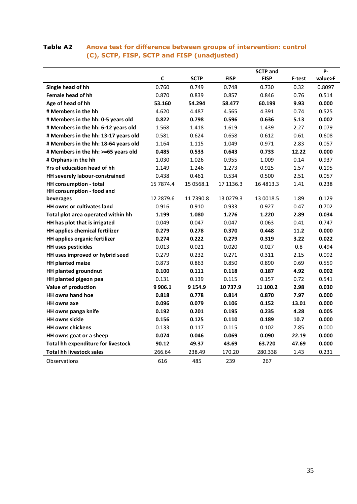#### <span id="page-42-0"></span>**Table A2 Anova test for difference between groups of intervention: control (C), SCTP, FISP, SCTP and FISP (unadjusted)**

|                                      |             |             |             | <b>SCTP</b> and |        | <b>P-</b> |
|--------------------------------------|-------------|-------------|-------------|-----------------|--------|-----------|
|                                      | $\mathbf c$ | <b>SCTP</b> | <b>FISP</b> | <b>FISP</b>     | F-test | value>F   |
| Single head of hh                    | 0.760       | 0.749       | 0.748       | 0.730           | 0.32   | 0.8097    |
| Female head of hh                    | 0.870       | 0.839       | 0.857       | 0.846           | 0.76   | 0.514     |
| Age of head of hh                    | 53.160      | 54.294      | 58.477      | 60.199          | 9.93   | 0.000     |
| # Members in the hh                  | 4.620       | 4.487       | 4.565       | 4.391           | 0.74   | 0.525     |
| # Members in the hh: 0-5 years old   | 0.822       | 0.798       | 0.596       | 0.636           | 5.13   | 0.002     |
| # Members in the hh: 6-12 years old  | 1.568       | 1.418       | 1.619       | 1.439           | 2.27   | 0.079     |
| # Members in the hh: 13-17 years old | 0.581       | 0.624       | 0.658       | 0.612           | 0.61   | 0.608     |
| # Members in the hh: 18-64 years old | 1.164       | 1.115       | 1.049       | 0.971           | 2.83   | 0.057     |
| # Members in the hh: >=65 years old  | 0.485       | 0.533       | 0.643       | 0.733           | 12.22  | 0.000     |
| # Orphans in the hh                  | 1.030       | 1.026       | 0.955       | 1.009           | 0.14   | 0.937     |
| Yrs of education head of hh          | 1.149       | 1.246       | 1.273       | 0.925           | 1.57   | 0.195     |
| HH severely labour-constrained       | 0.438       | 0.461       | 0.534       | 0.500           | 2.51   | 0.057     |
| <b>HH</b> consumption - total        | 15 7874.4   | 15 05 68.1  | 17 1136.3   | 16 48 13.3      | 1.41   | 0.238     |
| HH consumption - food and            |             |             |             |                 |        |           |
| beverages                            | 12 2879.6   | 11 7390.8   | 13 0279.3   | 13 0018.5       | 1.89   | 0.129     |
| <b>HH</b> owns or cultivates land    | 0.916       | 0.910       | 0.933       | 0.927           | 0.47   | 0.702     |
| Total plot area operated within hh   | 1.199       | 1.080       | 1.276       | 1.220           | 2.89   | 0.034     |
| HH has plot that is irrigated        | 0.049       | 0.047       | 0.047       | 0.063           | 0.41   | 0.747     |
| HH applies chemical fertilizer       | 0.279       | 0.278       | 0.370       | 0.448           | 11.2   | 0.000     |
| HH applies organic fertilizer        | 0.274       | 0.222       | 0.279       | 0.319           | 3.22   | 0.022     |
| <b>HH uses pesticides</b>            | 0.013       | 0.021       | 0.020       | 0.027           | 0.8    | 0.494     |
| HH uses improved or hybrid seed      | 0.279       | 0.232       | 0.271       | 0.311           | 2.15   | 0.092     |
| <b>HH planted maize</b>              | 0.873       | 0.863       | 0.850       | 0.890           | 0.69   | 0.559     |
| <b>HH planted groundnut</b>          | 0.100       | 0.111       | 0.118       | 0.187           | 4.92   | 0.002     |
| HH planted pigeon pea                | 0.131       | 0.139       | 0.115       | 0.157           | 0.72   | 0.541     |
| Value of production                  | 9 9 0 6.1   | 9 154.9     | 10 737.9    | 11 100.2        | 2.98   | 0.030     |
| HH owns hand hoe                     | 0.818       | 0.778       | 0.814       | 0.870           | 7.97   | 0.000     |
| <b>HH owns axe</b>                   | 0.096       | 0.079       | 0.106       | 0.152           | 13.01  | 0.000     |
| HH owns panga knife                  | 0.192       | 0.201       | 0.195       | 0.235           | 4.28   | 0.005     |
| <b>HH owns sickle</b>                | 0.156       | 0.125       | 0.110       | 0.189           | 10.7   | 0.000     |
| <b>HH owns chickens</b>              | 0.133       | 0.117       | 0.115       | 0.102           | 7.85   | 0.000     |
| HH owns goat or a sheep              | 0.074       | 0.046       | 0.069       | 0.090           | 22.19  | 0.000     |
| Total hh expenditure for livestock   | 90.12       | 49.37       | 43.69       | 63.720          | 47.69  | 0.000     |
| <b>Total hh livestock sales</b>      | 266.64      | 238.49      | 170.20      | 280.338         | 1.43   | 0.231     |
| Observations                         | 616         | 485         | 239         | 267             |        |           |